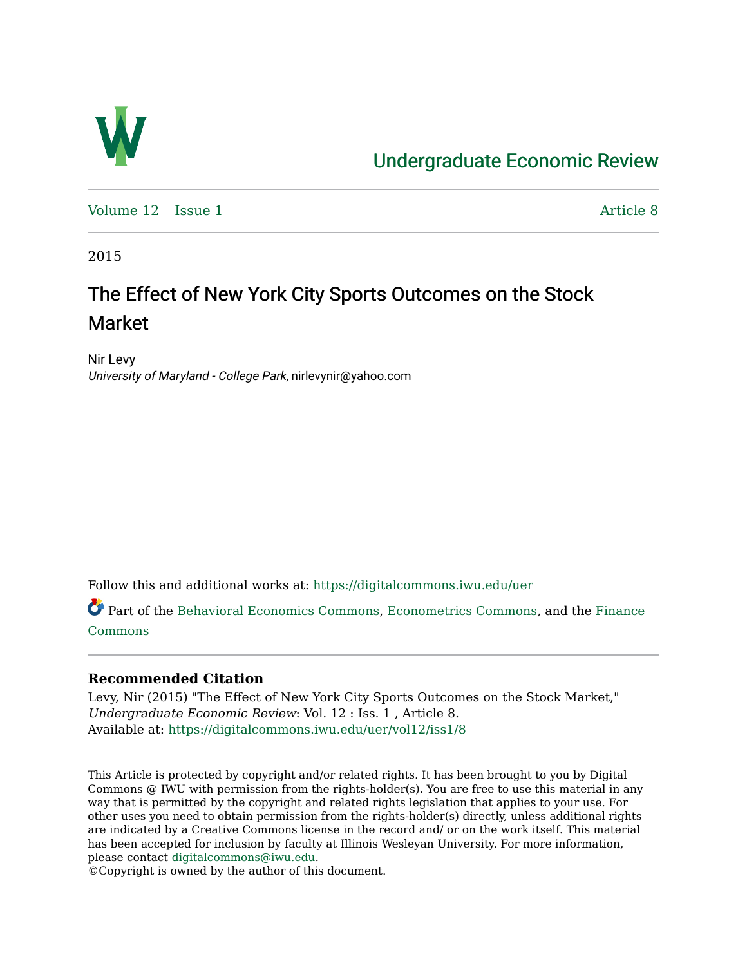

# [Undergraduate Economic Review](https://digitalcommons.iwu.edu/uer)

[Volume 12](https://digitalcommons.iwu.edu/uer/vol12) | [Issue 1](https://digitalcommons.iwu.edu/uer/vol12/iss1) Article 8

2015

# The Effect of New York City Sports Outcomes on the Stock Market

Nir Levy University of Maryland - College Park, nirlevynir@yahoo.com

Follow this and additional works at: [https://digitalcommons.iwu.edu/uer](https://digitalcommons.iwu.edu/uer?utm_source=digitalcommons.iwu.edu%2Fuer%2Fvol12%2Fiss1%2F8&utm_medium=PDF&utm_campaign=PDFCoverPages)

Part of the [Behavioral Economics Commons](http://network.bepress.com/hgg/discipline/341?utm_source=digitalcommons.iwu.edu%2Fuer%2Fvol12%2Fiss1%2F8&utm_medium=PDF&utm_campaign=PDFCoverPages), [Econometrics Commons](http://network.bepress.com/hgg/discipline/342?utm_source=digitalcommons.iwu.edu%2Fuer%2Fvol12%2Fiss1%2F8&utm_medium=PDF&utm_campaign=PDFCoverPages), and the [Finance](http://network.bepress.com/hgg/discipline/345?utm_source=digitalcommons.iwu.edu%2Fuer%2Fvol12%2Fiss1%2F8&utm_medium=PDF&utm_campaign=PDFCoverPages)  [Commons](http://network.bepress.com/hgg/discipline/345?utm_source=digitalcommons.iwu.edu%2Fuer%2Fvol12%2Fiss1%2F8&utm_medium=PDF&utm_campaign=PDFCoverPages)

#### **Recommended Citation**

Levy, Nir (2015) "The Effect of New York City Sports Outcomes on the Stock Market," Undergraduate Economic Review: Vol. 12 : Iss. 1 , Article 8. Available at: [https://digitalcommons.iwu.edu/uer/vol12/iss1/8](https://digitalcommons.iwu.edu/uer/vol12/iss1/8?utm_source=digitalcommons.iwu.edu%2Fuer%2Fvol12%2Fiss1%2F8&utm_medium=PDF&utm_campaign=PDFCoverPages)

This Article is protected by copyright and/or related rights. It has been brought to you by Digital Commons @ IWU with permission from the rights-holder(s). You are free to use this material in any way that is permitted by the copyright and related rights legislation that applies to your use. For other uses you need to obtain permission from the rights-holder(s) directly, unless additional rights are indicated by a Creative Commons license in the record and/ or on the work itself. This material has been accepted for inclusion by faculty at Illinois Wesleyan University. For more information, please contact [digitalcommons@iwu.edu.](mailto:digitalcommons@iwu.edu)

©Copyright is owned by the author of this document.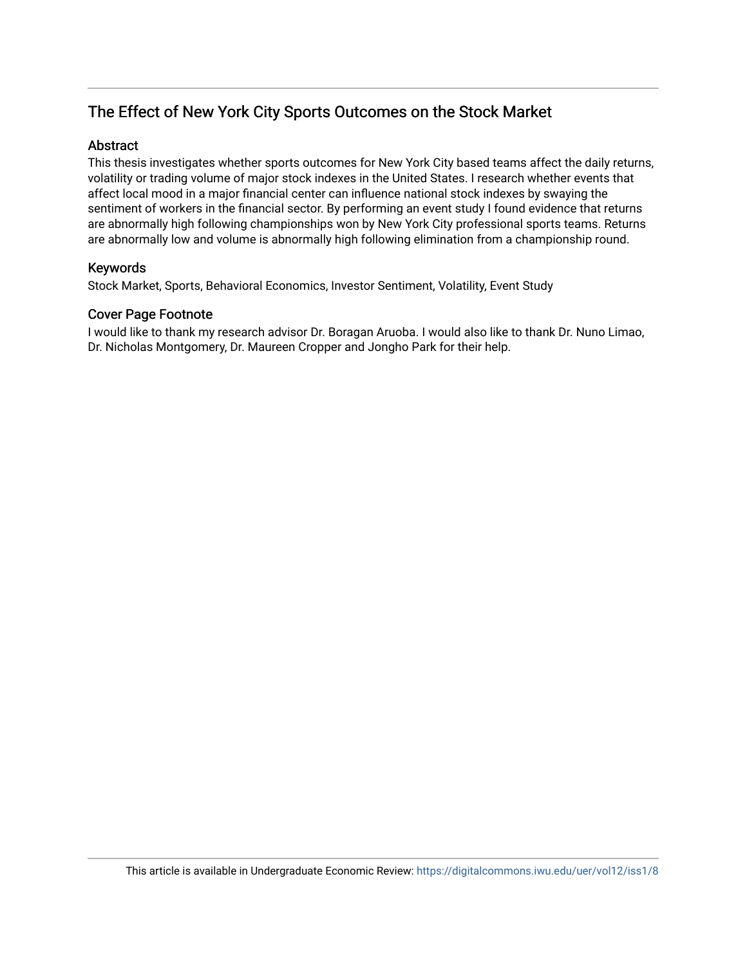# The Effect of New York City Sports Outcomes on the Stock Market

#### Abstract

This thesis investigates whether sports outcomes for New York City based teams affect the daily returns, volatility or trading volume of major stock indexes in the United States. I research whether events that affect local mood in a major financial center can influence national stock indexes by swaying the sentiment of workers in the financial sector. By performing an event study I found evidence that returns are abnormally high following championships won by New York City professional sports teams. Returns are abnormally low and volume is abnormally high following elimination from a championship round.

#### Keywords

Stock Market, Sports, Behavioral Economics, Investor Sentiment, Volatility, Event Study

#### Cover Page Footnote

I would like to thank my research advisor Dr. Boragan Aruoba. I would also like to thank Dr. Nuno Limao, Dr. Nicholas Montgomery, Dr. Maureen Cropper and Jongho Park for their help.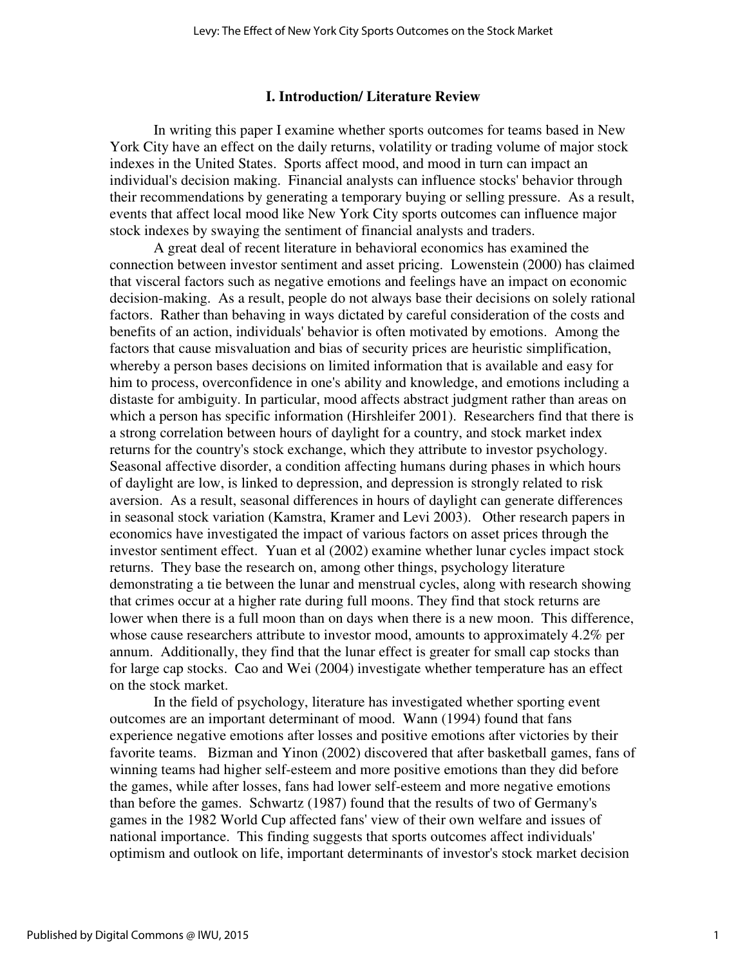#### **I. Introduction/ Literature Review**

 In writing this paper I examine whether sports outcomes for teams based in New York City have an effect on the daily returns, volatility or trading volume of major stock indexes in the United States. Sports affect mood, and mood in turn can impact an individual's decision making. Financial analysts can influence stocks' behavior through their recommendations by generating a temporary buying or selling pressure. As a result, events that affect local mood like New York City sports outcomes can influence major stock indexes by swaying the sentiment of financial analysts and traders.

 A great deal of recent literature in behavioral economics has examined the connection between investor sentiment and asset pricing. Lowenstein (2000) has claimed that visceral factors such as negative emotions and feelings have an impact on economic decision-making. As a result, people do not always base their decisions on solely rational factors. Rather than behaving in ways dictated by careful consideration of the costs and benefits of an action, individuals' behavior is often motivated by emotions. Among the factors that cause misvaluation and bias of security prices are heuristic simplification, whereby a person bases decisions on limited information that is available and easy for him to process, overconfidence in one's ability and knowledge, and emotions including a distaste for ambiguity. In particular, mood affects abstract judgment rather than areas on which a person has specific information (Hirshleifer 2001). Researchers find that there is a strong correlation between hours of daylight for a country, and stock market index returns for the country's stock exchange, which they attribute to investor psychology. Seasonal affective disorder, a condition affecting humans during phases in which hours of daylight are low, is linked to depression, and depression is strongly related to risk aversion. As a result, seasonal differences in hours of daylight can generate differences in seasonal stock variation (Kamstra, Kramer and Levi 2003). Other research papers in economics have investigated the impact of various factors on asset prices through the investor sentiment effect. Yuan et al (2002) examine whether lunar cycles impact stock returns. They base the research on, among other things, psychology literature demonstrating a tie between the lunar and menstrual cycles, along with research showing that crimes occur at a higher rate during full moons. They find that stock returns are lower when there is a full moon than on days when there is a new moon. This difference, whose cause researchers attribute to investor mood, amounts to approximately 4.2% per annum. Additionally, they find that the lunar effect is greater for small cap stocks than for large cap stocks. Cao and Wei (2004) investigate whether temperature has an effect on the stock market.

 In the field of psychology, literature has investigated whether sporting event outcomes are an important determinant of mood. Wann (1994) found that fans experience negative emotions after losses and positive emotions after victories by their favorite teams. Bizman and Yinon (2002) discovered that after basketball games, fans of winning teams had higher self-esteem and more positive emotions than they did before the games, while after losses, fans had lower self-esteem and more negative emotions than before the games. Schwartz (1987) found that the results of two of Germany's games in the 1982 World Cup affected fans' view of their own welfare and issues of national importance. This finding suggests that sports outcomes affect individuals' optimism and outlook on life, important determinants of investor's stock market decision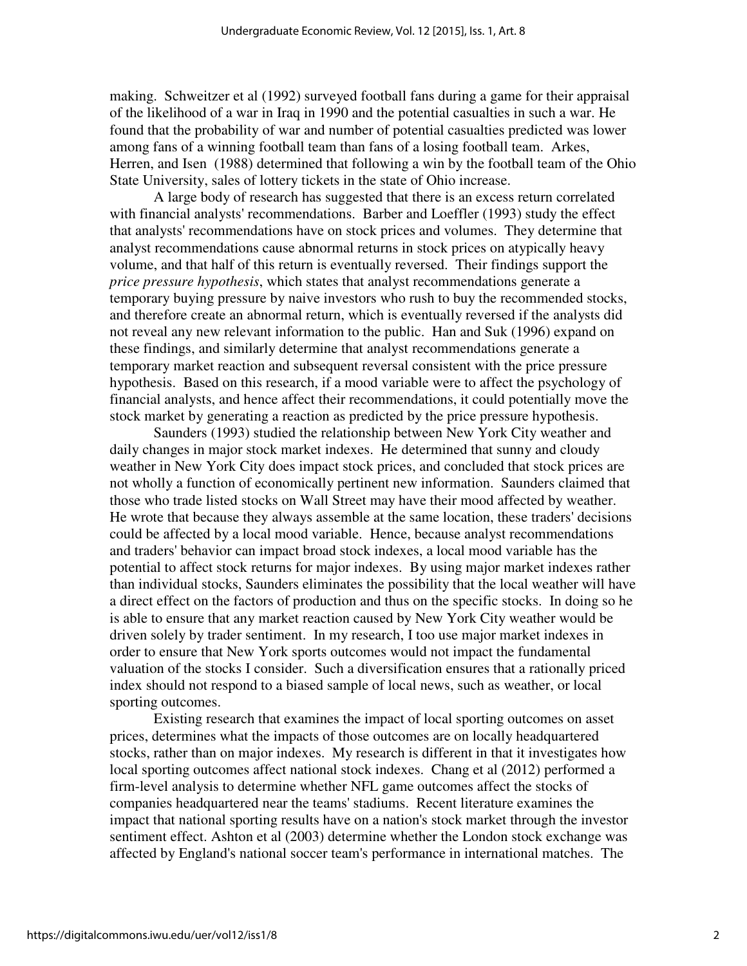making. Schweitzer et al (1992) surveyed football fans during a game for their appraisal of the likelihood of a war in Iraq in 1990 and the potential casualties in such a war. He found that the probability of war and number of potential casualties predicted was lower among fans of a winning football team than fans of a losing football team. Arkes, Herren, and Isen (1988) determined that following a win by the football team of the Ohio State University, sales of lottery tickets in the state of Ohio increase.

 A large body of research has suggested that there is an excess return correlated with financial analysts' recommendations. Barber and Loeffler (1993) study the effect that analysts' recommendations have on stock prices and volumes. They determine that analyst recommendations cause abnormal returns in stock prices on atypically heavy volume, and that half of this return is eventually reversed. Their findings support the *price pressure hypothesis*, which states that analyst recommendations generate a temporary buying pressure by naive investors who rush to buy the recommended stocks, and therefore create an abnormal return, which is eventually reversed if the analysts did not reveal any new relevant information to the public. Han and Suk (1996) expand on these findings, and similarly determine that analyst recommendations generate a temporary market reaction and subsequent reversal consistent with the price pressure hypothesis. Based on this research, if a mood variable were to affect the psychology of financial analysts, and hence affect their recommendations, it could potentially move the stock market by generating a reaction as predicted by the price pressure hypothesis.

 Saunders (1993) studied the relationship between New York City weather and daily changes in major stock market indexes. He determined that sunny and cloudy weather in New York City does impact stock prices, and concluded that stock prices are not wholly a function of economically pertinent new information. Saunders claimed that those who trade listed stocks on Wall Street may have their mood affected by weather. He wrote that because they always assemble at the same location, these traders' decisions could be affected by a local mood variable. Hence, because analyst recommendations and traders' behavior can impact broad stock indexes, a local mood variable has the potential to affect stock returns for major indexes. By using major market indexes rather than individual stocks, Saunders eliminates the possibility that the local weather will have a direct effect on the factors of production and thus on the specific stocks. In doing so he is able to ensure that any market reaction caused by New York City weather would be driven solely by trader sentiment. In my research, I too use major market indexes in order to ensure that New York sports outcomes would not impact the fundamental valuation of the stocks I consider. Such a diversification ensures that a rationally priced index should not respond to a biased sample of local news, such as weather, or local sporting outcomes.

 Existing research that examines the impact of local sporting outcomes on asset prices, determines what the impacts of those outcomes are on locally headquartered stocks, rather than on major indexes. My research is different in that it investigates how local sporting outcomes affect national stock indexes. Chang et al (2012) performed a firm-level analysis to determine whether NFL game outcomes affect the stocks of companies headquartered near the teams' stadiums. Recent literature examines the impact that national sporting results have on a nation's stock market through the investor sentiment effect. Ashton et al (2003) determine whether the London stock exchange was affected by England's national soccer team's performance in international matches. The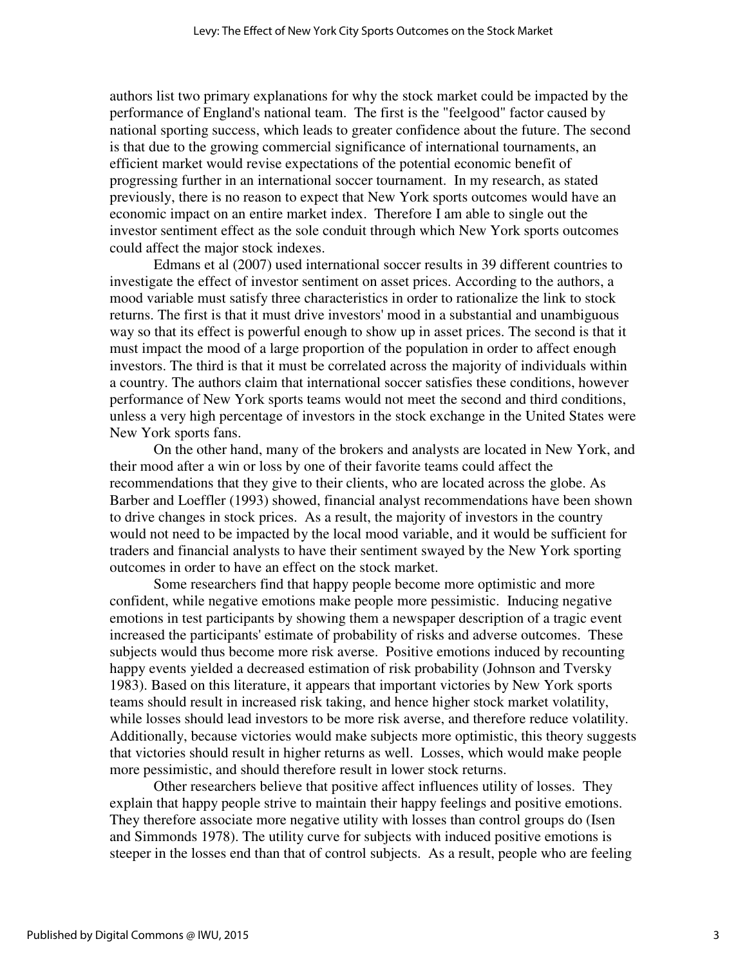authors list two primary explanations for why the stock market could be impacted by the performance of England's national team. The first is the "feelgood" factor caused by national sporting success, which leads to greater confidence about the future. The second is that due to the growing commercial significance of international tournaments, an efficient market would revise expectations of the potential economic benefit of progressing further in an international soccer tournament. In my research, as stated previously, there is no reason to expect that New York sports outcomes would have an economic impact on an entire market index. Therefore I am able to single out the investor sentiment effect as the sole conduit through which New York sports outcomes could affect the major stock indexes.

 Edmans et al (2007) used international soccer results in 39 different countries to investigate the effect of investor sentiment on asset prices. According to the authors, a mood variable must satisfy three characteristics in order to rationalize the link to stock returns. The first is that it must drive investors' mood in a substantial and unambiguous way so that its effect is powerful enough to show up in asset prices. The second is that it must impact the mood of a large proportion of the population in order to affect enough investors. The third is that it must be correlated across the majority of individuals within a country. The authors claim that international soccer satisfies these conditions, however performance of New York sports teams would not meet the second and third conditions, unless a very high percentage of investors in the stock exchange in the United States were New York sports fans.

 On the other hand, many of the brokers and analysts are located in New York, and their mood after a win or loss by one of their favorite teams could affect the recommendations that they give to their clients, who are located across the globe. As Barber and Loeffler (1993) showed, financial analyst recommendations have been shown to drive changes in stock prices. As a result, the majority of investors in the country would not need to be impacted by the local mood variable, and it would be sufficient for traders and financial analysts to have their sentiment swayed by the New York sporting outcomes in order to have an effect on the stock market.

 Some researchers find that happy people become more optimistic and more confident, while negative emotions make people more pessimistic. Inducing negative emotions in test participants by showing them a newspaper description of a tragic event increased the participants' estimate of probability of risks and adverse outcomes. These subjects would thus become more risk averse. Positive emotions induced by recounting happy events yielded a decreased estimation of risk probability (Johnson and Tversky 1983). Based on this literature, it appears that important victories by New York sports teams should result in increased risk taking, and hence higher stock market volatility, while losses should lead investors to be more risk averse, and therefore reduce volatility. Additionally, because victories would make subjects more optimistic, this theory suggests that victories should result in higher returns as well. Losses, which would make people more pessimistic, and should therefore result in lower stock returns.

 Other researchers believe that positive affect influences utility of losses. They explain that happy people strive to maintain their happy feelings and positive emotions. They therefore associate more negative utility with losses than control groups do (Isen and Simmonds 1978). The utility curve for subjects with induced positive emotions is steeper in the losses end than that of control subjects. As a result, people who are feeling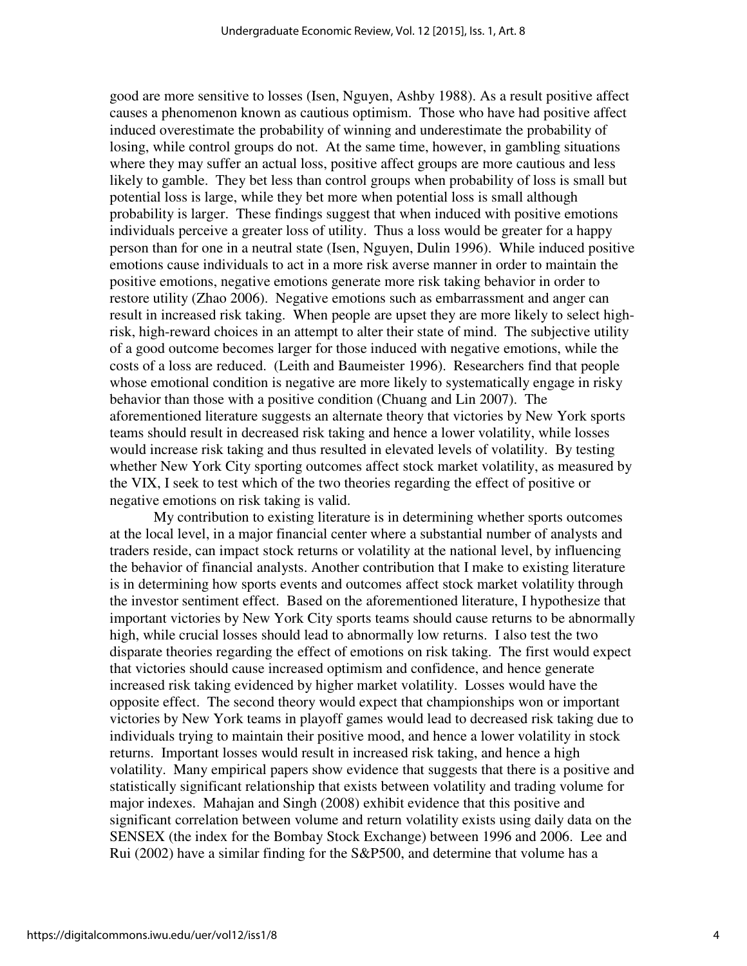good are more sensitive to losses (Isen, Nguyen, Ashby 1988). As a result positive affect causes a phenomenon known as cautious optimism. Those who have had positive affect induced overestimate the probability of winning and underestimate the probability of losing, while control groups do not. At the same time, however, in gambling situations where they may suffer an actual loss, positive affect groups are more cautious and less likely to gamble. They bet less than control groups when probability of loss is small but potential loss is large, while they bet more when potential loss is small although probability is larger. These findings suggest that when induced with positive emotions individuals perceive a greater loss of utility. Thus a loss would be greater for a happy person than for one in a neutral state (Isen, Nguyen, Dulin 1996). While induced positive emotions cause individuals to act in a more risk averse manner in order to maintain the positive emotions, negative emotions generate more risk taking behavior in order to restore utility (Zhao 2006). Negative emotions such as embarrassment and anger can result in increased risk taking. When people are upset they are more likely to select highrisk, high-reward choices in an attempt to alter their state of mind. The subjective utility of a good outcome becomes larger for those induced with negative emotions, while the costs of a loss are reduced. (Leith and Baumeister 1996). Researchers find that people whose emotional condition is negative are more likely to systematically engage in risky behavior than those with a positive condition (Chuang and Lin 2007). The aforementioned literature suggests an alternate theory that victories by New York sports teams should result in decreased risk taking and hence a lower volatility, while losses would increase risk taking and thus resulted in elevated levels of volatility. By testing whether New York City sporting outcomes affect stock market volatility, as measured by the VIX, I seek to test which of the two theories regarding the effect of positive or negative emotions on risk taking is valid.

 My contribution to existing literature is in determining whether sports outcomes at the local level, in a major financial center where a substantial number of analysts and traders reside, can impact stock returns or volatility at the national level, by influencing the behavior of financial analysts. Another contribution that I make to existing literature is in determining how sports events and outcomes affect stock market volatility through the investor sentiment effect. Based on the aforementioned literature, I hypothesize that important victories by New York City sports teams should cause returns to be abnormally high, while crucial losses should lead to abnormally low returns. I also test the two disparate theories regarding the effect of emotions on risk taking. The first would expect that victories should cause increased optimism and confidence, and hence generate increased risk taking evidenced by higher market volatility. Losses would have the opposite effect. The second theory would expect that championships won or important victories by New York teams in playoff games would lead to decreased risk taking due to individuals trying to maintain their positive mood, and hence a lower volatility in stock returns. Important losses would result in increased risk taking, and hence a high volatility. Many empirical papers show evidence that suggests that there is a positive and statistically significant relationship that exists between volatility and trading volume for major indexes. Mahajan and Singh (2008) exhibit evidence that this positive and significant correlation between volume and return volatility exists using daily data on the SENSEX (the index for the Bombay Stock Exchange) between 1996 and 2006. Lee and Rui (2002) have a similar finding for the S&P500, and determine that volume has a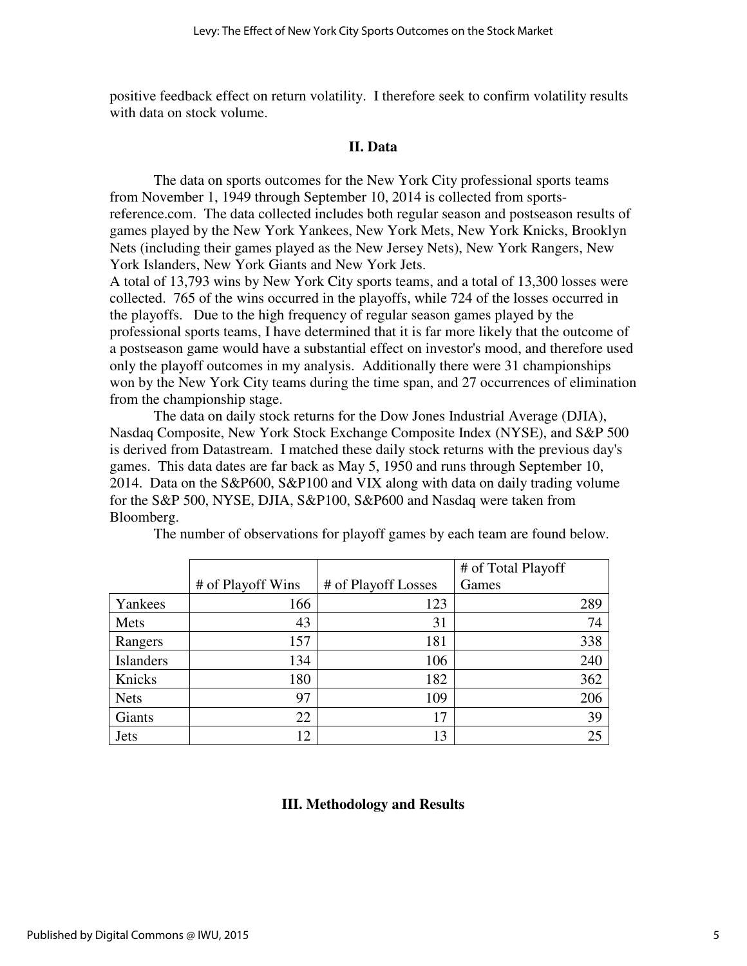positive feedback effect on return volatility. I therefore seek to confirm volatility results with data on stock volume.

#### **II. Data**

The data on sports outcomes for the New York City professional sports teams from November 1, 1949 through September 10, 2014 is collected from sportsreference.com. The data collected includes both regular season and postseason results of games played by the New York Yankees, New York Mets, New York Knicks, Brooklyn Nets (including their games played as the New Jersey Nets), New York Rangers, New York Islanders, New York Giants and New York Jets.

A total of 13,793 wins by New York City sports teams, and a total of 13,300 losses were collected. 765 of the wins occurred in the playoffs, while 724 of the losses occurred in the playoffs. Due to the high frequency of regular season games played by the professional sports teams, I have determined that it is far more likely that the outcome of a postseason game would have a substantial effect on investor's mood, and therefore used only the playoff outcomes in my analysis. Additionally there were 31 championships won by the New York City teams during the time span, and 27 occurrences of elimination from the championship stage.

 The data on daily stock returns for the Dow Jones Industrial Average (DJIA), Nasdaq Composite, New York Stock Exchange Composite Index (NYSE), and S&P 500 is derived from Datastream. I matched these daily stock returns with the previous day's games. This data dates are far back as May 5, 1950 and runs through September 10, 2014. Data on the S&P600, S&P100 and VIX along with data on daily trading volume for the S&P 500, NYSE, DJIA, S&P100, S&P600 and Nasdaq were taken from Bloomberg.

|                  |                   |                     | # of Total Playoff |
|------------------|-------------------|---------------------|--------------------|
|                  | # of Playoff Wins | # of Playoff Losses | Games              |
| Yankees          | 166               | 123                 | 289                |
| Mets             | 43                | 31                  | 74                 |
| Rangers          | 157               | 181                 | 338                |
| <b>Islanders</b> | 134               | 106                 | 240                |
| Knicks           | 180               | 182                 | 362                |
| <b>Nets</b>      | 97                | 109                 | 206                |
| Giants           | 22                | 17                  | 39                 |
| <b>Jets</b>      | 12                | 13                  | 25                 |

The number of observations for playoff games by each team are found below.

#### **III. Methodology and Results**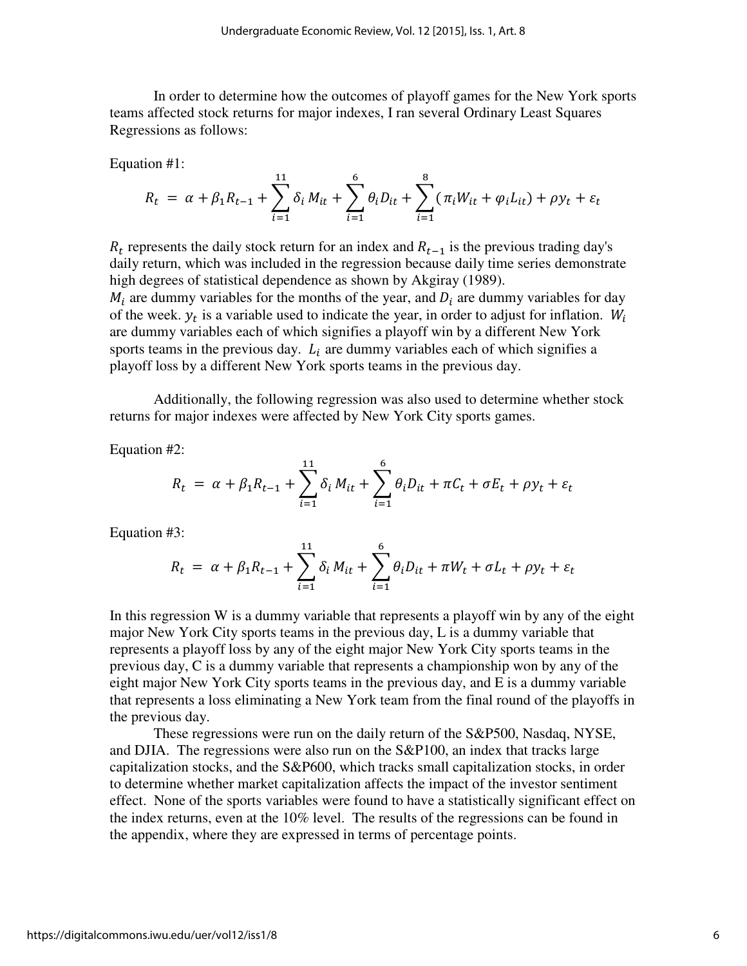In order to determine how the outcomes of playoff games for the New York sports teams affected stock returns for major indexes, I ran several Ordinary Least Squares Regressions as follows:

Equation #1:

$$
R_t = \alpha + \beta_1 R_{t-1} + \sum_{i=1}^{11} \delta_i M_{it} + \sum_{i=1}^{6} \theta_i D_{it} + \sum_{i=1}^{8} (\pi_i W_{it} + \varphi_i L_{it}) + \rho y_t + \varepsilon_t
$$

 $R_t$  represents the daily stock return for an index and  $R_{t-1}$  is the previous trading day's daily return, which was included in the regression because daily time series demonstrate high degrees of statistical dependence as shown by Akgiray (1989).  $M_i$  are dummy variables for the months of the year, and  $D_i$  are dummy variables for day of the week.  $y_t$  is a variable used to indicate the year, in order to adjust for inflation.  $W_t$ are dummy variables each of which signifies a playoff win by a different New York sports teams in the previous day.  $L_i$  are dummy variables each of which signifies a playoff loss by a different New York sports teams in the previous day.

 Additionally, the following regression was also used to determine whether stock returns for major indexes were affected by New York City sports games.

Equation #2:

$$
R_{t} = \alpha + \beta_{1}R_{t-1} + \sum_{i=1}^{11} \delta_{i}M_{it} + \sum_{i=1}^{6} \theta_{i}D_{it} + \pi C_{t} + \sigma E_{t} + \rho y_{t} + \varepsilon_{t}
$$

Equation #3:

$$
R_{t} = \alpha + \beta_{1} R_{t-1} + \sum_{i=1}^{11} \delta_{i} M_{it} + \sum_{i=1}^{6} \theta_{i} D_{it} + \pi W_{t} + \sigma L_{t} + \rho y_{t} + \varepsilon_{t}
$$

In this regression W is a dummy variable that represents a playoff win by any of the eight major New York City sports teams in the previous day, L is a dummy variable that represents a playoff loss by any of the eight major New York City sports teams in the previous day, C is a dummy variable that represents a championship won by any of the eight major New York City sports teams in the previous day, and E is a dummy variable that represents a loss eliminating a New York team from the final round of the playoffs in the previous day.

 These regressions were run on the daily return of the S&P500, Nasdaq, NYSE, and DJIA. The regressions were also run on the S&P100, an index that tracks large capitalization stocks, and the S&P600, which tracks small capitalization stocks, in order to determine whether market capitalization affects the impact of the investor sentiment effect. None of the sports variables were found to have a statistically significant effect on the index returns, even at the 10% level. The results of the regressions can be found in the appendix, where they are expressed in terms of percentage points.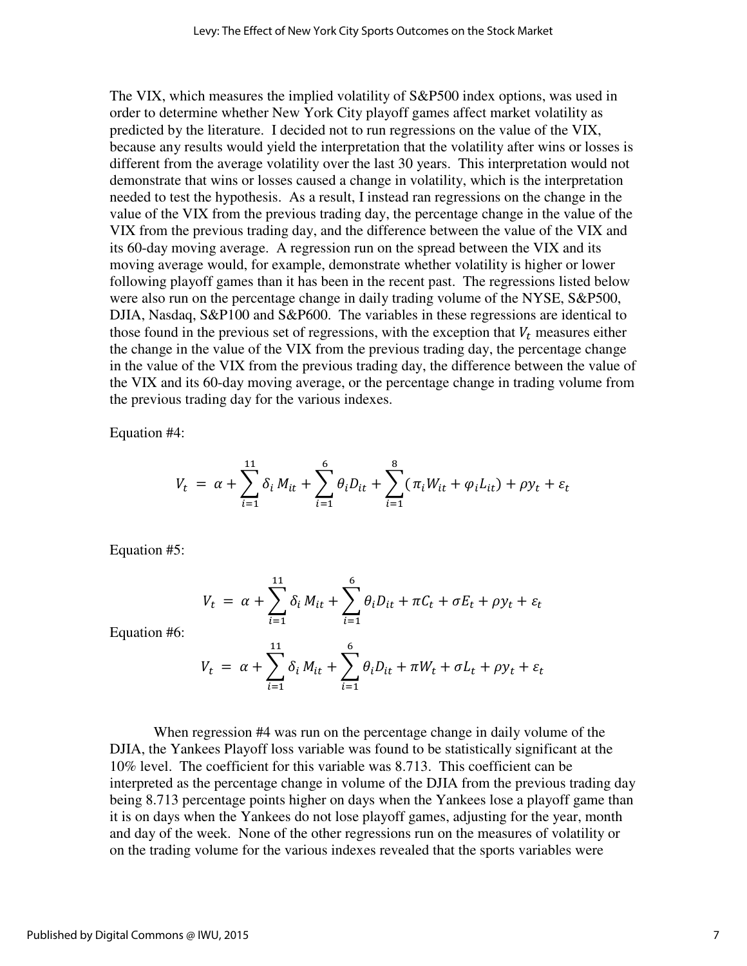The VIX, which measures the implied volatility of S&P500 index options, was used in order to determine whether New York City playoff games affect market volatility as predicted by the literature. I decided not to run regressions on the value of the VIX, because any results would yield the interpretation that the volatility after wins or losses is different from the average volatility over the last 30 years. This interpretation would not demonstrate that wins or losses caused a change in volatility, which is the interpretation needed to test the hypothesis. As a result, I instead ran regressions on the change in the value of the VIX from the previous trading day, the percentage change in the value of the VIX from the previous trading day, and the difference between the value of the VIX and its 60-day moving average. A regression run on the spread between the VIX and its moving average would, for example, demonstrate whether volatility is higher or lower following playoff games than it has been in the recent past. The regressions listed below were also run on the percentage change in daily trading volume of the NYSE, S&P500, DJIA, Nasdaq, S&P100 and S&P600. The variables in these regressions are identical to those found in the previous set of regressions, with the exception that  $V_t$  measures either the change in the value of the VIX from the previous trading day, the percentage change in the value of the VIX from the previous trading day, the difference between the value of the VIX and its 60-day moving average, or the percentage change in trading volume from the previous trading day for the various indexes.

Equation #4:

$$
V_t = \alpha + \sum_{i=1}^{11} \delta_i M_{it} + \sum_{i=1}^{6} \theta_i D_{it} + \sum_{i=1}^{8} (\pi_i W_{it} + \varphi_i L_{it}) + \rho y_t + \varepsilon_t
$$

Equation #5:

$$
V_t = \alpha + \sum_{i=1}^{11} \delta_i M_{it} + \sum_{i=1}^{6} \theta_i D_{it} + \pi C_t + \sigma E_t + \rho y_t + \varepsilon_t
$$

Equation #6:

$$
V_t = \alpha + \sum_{i=1}^{11} \delta_i M_{it} + \sum_{i=1}^{6} \theta_i D_{it} + \pi W_t + \sigma L_t + \rho y_t + \varepsilon_t
$$

 When regression #4 was run on the percentage change in daily volume of the DJIA, the Yankees Playoff loss variable was found to be statistically significant at the 10% level. The coefficient for this variable was 8.713. This coefficient can be interpreted as the percentage change in volume of the DJIA from the previous trading day being 8.713 percentage points higher on days when the Yankees lose a playoff game than it is on days when the Yankees do not lose playoff games, adjusting for the year, month and day of the week. None of the other regressions run on the measures of volatility or on the trading volume for the various indexes revealed that the sports variables were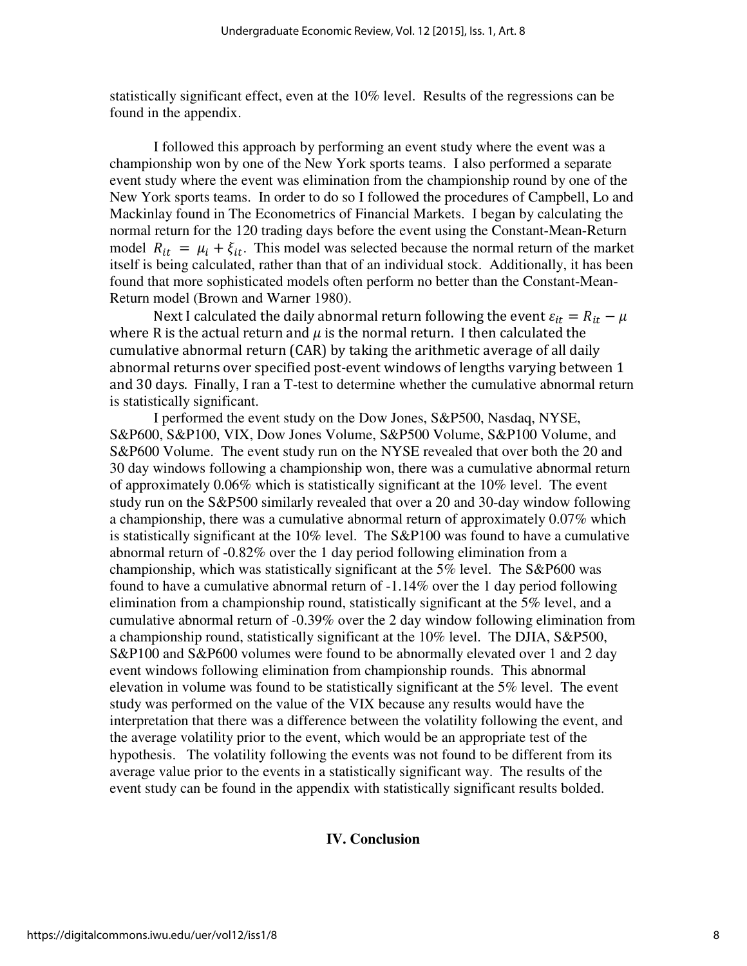statistically significant effect, even at the 10% level. Results of the regressions can be found in the appendix.

I followed this approach by performing an event study where the event was a championship won by one of the New York sports teams. I also performed a separate event study where the event was elimination from the championship round by one of the New York sports teams. In order to do so I followed the procedures of Campbell, Lo and Mackinlay found in The Econometrics of Financial Markets. I began by calculating the normal return for the 120 trading days before the event using the Constant-Mean-Return model  $R_{it} = \mu_i + \xi_{it}$ . This model was selected because the normal return of the market itself is being calculated, rather than that of an individual stock. Additionally, it has been found that more sophisticated models often perform no better than the Constant-Mean-Return model (Brown and Warner 1980).

Next I calculated the daily abnormal return following the event  $\varepsilon_{it} = R_{it} - \mu$ where R is the actual return and  $\mu$  is the normal return. I then calculated the cumulative abnormal return (CAR) by taking the arithmetic average of all daily abnormal returns over specified post-event windows of lengths varying between 1 and 30 days. Finally, I ran a T-test to determine whether the cumulative abnormal return is statistically significant.

 I performed the event study on the Dow Jones, S&P500, Nasdaq, NYSE, S&P600, S&P100, VIX, Dow Jones Volume, S&P500 Volume, S&P100 Volume, and S&P600 Volume. The event study run on the NYSE revealed that over both the 20 and 30 day windows following a championship won, there was a cumulative abnormal return of approximately 0.06% which is statistically significant at the 10% level. The event study run on the S&P500 similarly revealed that over a 20 and 30-day window following a championship, there was a cumulative abnormal return of approximately 0.07% which is statistically significant at the 10% level. The S&P100 was found to have a cumulative abnormal return of -0.82% over the 1 day period following elimination from a championship, which was statistically significant at the 5% level. The S&P600 was found to have a cumulative abnormal return of -1.14% over the 1 day period following elimination from a championship round, statistically significant at the 5% level, and a cumulative abnormal return of -0.39% over the 2 day window following elimination from a championship round, statistically significant at the 10% level. The DJIA, S&P500, S&P100 and S&P600 volumes were found to be abnormally elevated over 1 and 2 day event windows following elimination from championship rounds. This abnormal elevation in volume was found to be statistically significant at the 5% level. The event study was performed on the value of the VIX because any results would have the interpretation that there was a difference between the volatility following the event, and the average volatility prior to the event, which would be an appropriate test of the hypothesis. The volatility following the events was not found to be different from its average value prior to the events in a statistically significant way. The results of the event study can be found in the appendix with statistically significant results bolded.

#### **IV. Conclusion**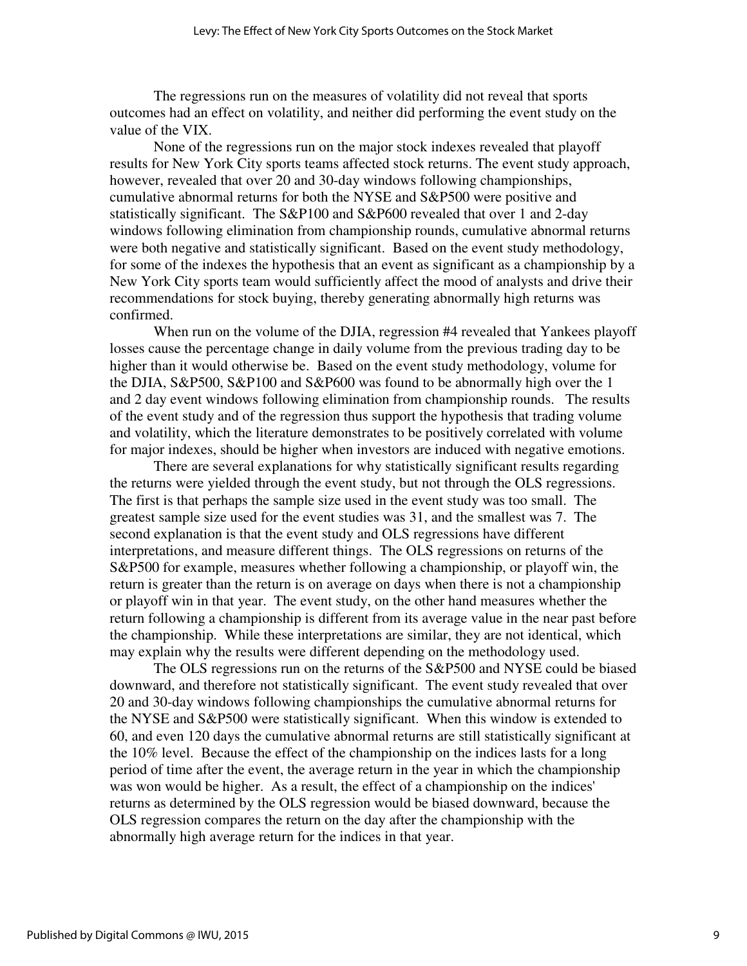The regressions run on the measures of volatility did not reveal that sports outcomes had an effect on volatility, and neither did performing the event study on the value of the VIX.

 None of the regressions run on the major stock indexes revealed that playoff results for New York City sports teams affected stock returns. The event study approach, however, revealed that over 20 and 30-day windows following championships, cumulative abnormal returns for both the NYSE and S&P500 were positive and statistically significant. The S&P100 and S&P600 revealed that over 1 and 2-day windows following elimination from championship rounds, cumulative abnormal returns were both negative and statistically significant. Based on the event study methodology, for some of the indexes the hypothesis that an event as significant as a championship by a New York City sports team would sufficiently affect the mood of analysts and drive their recommendations for stock buying, thereby generating abnormally high returns was confirmed.

When run on the volume of the DJIA, regression #4 revealed that Yankees playoff losses cause the percentage change in daily volume from the previous trading day to be higher than it would otherwise be. Based on the event study methodology, volume for the DJIA, S&P500, S&P100 and S&P600 was found to be abnormally high over the 1 and 2 day event windows following elimination from championship rounds. The results of the event study and of the regression thus support the hypothesis that trading volume and volatility, which the literature demonstrates to be positively correlated with volume for major indexes, should be higher when investors are induced with negative emotions.

 There are several explanations for why statistically significant results regarding the returns were yielded through the event study, but not through the OLS regressions. The first is that perhaps the sample size used in the event study was too small. The greatest sample size used for the event studies was 31, and the smallest was 7. The second explanation is that the event study and OLS regressions have different interpretations, and measure different things. The OLS regressions on returns of the S&P500 for example, measures whether following a championship, or playoff win, the return is greater than the return is on average on days when there is not a championship or playoff win in that year. The event study, on the other hand measures whether the return following a championship is different from its average value in the near past before the championship. While these interpretations are similar, they are not identical, which may explain why the results were different depending on the methodology used.

 The OLS regressions run on the returns of the S&P500 and NYSE could be biased downward, and therefore not statistically significant. The event study revealed that over 20 and 30-day windows following championships the cumulative abnormal returns for the NYSE and S&P500 were statistically significant. When this window is extended to 60, and even 120 days the cumulative abnormal returns are still statistically significant at the 10% level. Because the effect of the championship on the indices lasts for a long period of time after the event, the average return in the year in which the championship was won would be higher. As a result, the effect of a championship on the indices' returns as determined by the OLS regression would be biased downward, because the OLS regression compares the return on the day after the championship with the abnormally high average return for the indices in that year.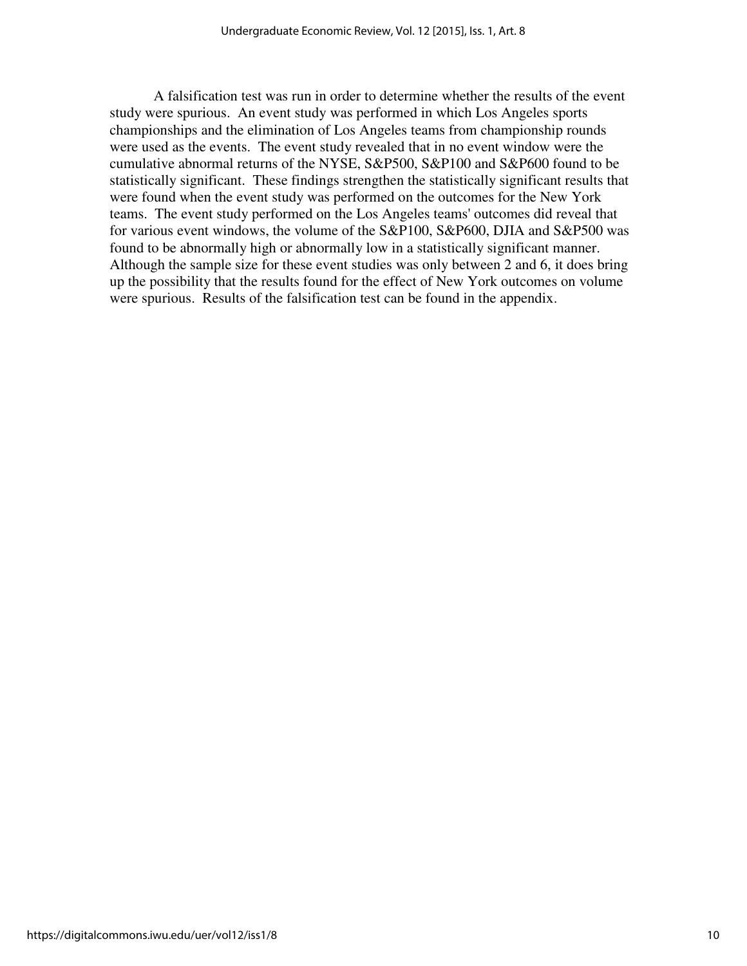A falsification test was run in order to determine whether the results of the event study were spurious. An event study was performed in which Los Angeles sports championships and the elimination of Los Angeles teams from championship rounds were used as the events. The event study revealed that in no event window were the cumulative abnormal returns of the NYSE, S&P500, S&P100 and S&P600 found to be statistically significant. These findings strengthen the statistically significant results that were found when the event study was performed on the outcomes for the New York teams. The event study performed on the Los Angeles teams' outcomes did reveal that for various event windows, the volume of the S&P100, S&P600, DJIA and S&P500 was found to be abnormally high or abnormally low in a statistically significant manner. Although the sample size for these event studies was only between 2 and 6, it does bring up the possibility that the results found for the effect of New York outcomes on volume were spurious. Results of the falsification test can be found in the appendix.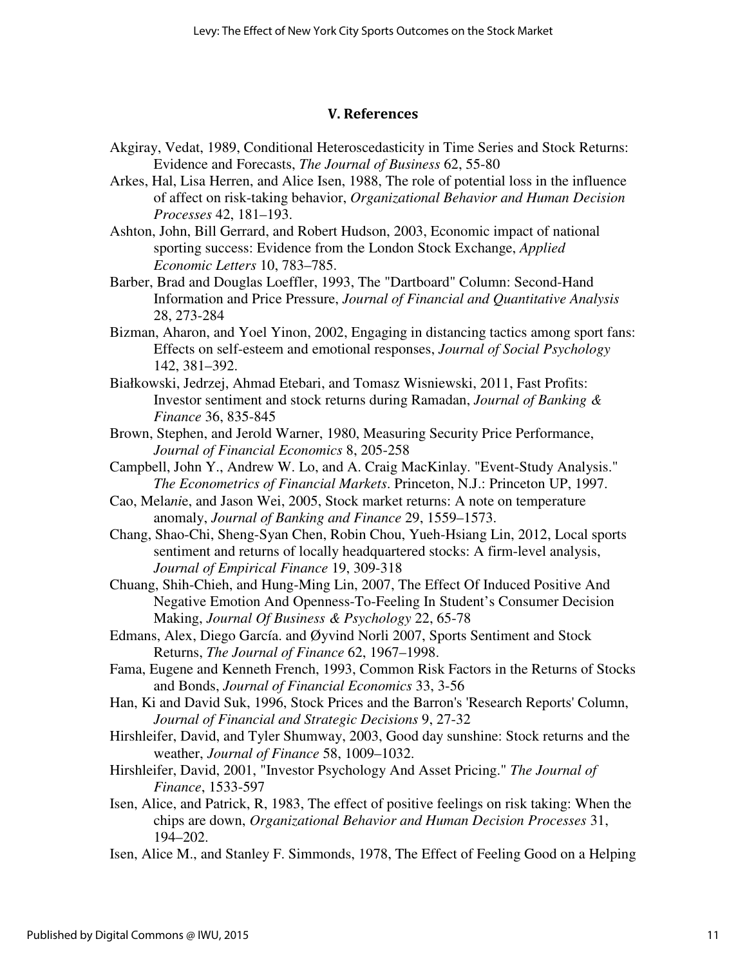#### V. References

- Akgiray, Vedat, 1989, Conditional Heteroscedasticity in Time Series and Stock Returns: Evidence and Forecasts, *The Journal of Business* 62, 55-80
- Arkes, Hal, Lisa Herren, and Alice Isen, 1988, The role of potential loss in the influence of affect on risk-taking behavior, *Organizational Behavior and Human Decision Processes* 42, 181–193.
- Ashton, John, Bill Gerrard, and Robert Hudson, 2003, Economic impact of national sporting success: Evidence from the London Stock Exchange, *Applied Economic Letters* 10, 783–785.
- Barber, Brad and Douglas Loeffler, 1993, The "Dartboard" Column: Second-Hand Information and Price Pressure, *Journal of Financial and Quantitative Analysis*  28, 273-284
- Bizman, Aharon, and Yoel Yinon, 2002, Engaging in distancing tactics among sport fans: Effects on self-esteem and emotional responses, *Journal of Social Psychology* 142, 381–392.
- Białkowski, Jedrzej, Ahmad Etebari, and Tomasz Wisniewski, 2011, Fast Profits: Investor sentiment and stock returns during Ramadan, *Journal of Banking & Finance* 36, 835-845
- Brown, Stephen, and Jerold Warner, 1980, Measuring Security Price Performance, *Journal of Financial Economics* 8, 205-258
- Campbell, John Y., Andrew W. Lo, and A. Craig MacKinlay. "Event-Study Analysis." *The Econometrics of Financial Markets*. Princeton, N.J.: Princeton UP, 1997.
- Cao, Mela*ni*e, and Jason Wei, 2005, Stock market returns: A note on temperature anomaly, *Journal of Banking and Finance* 29, 1559–1573.
- Chang, Shao-Chi, Sheng-Syan Chen, Robin Chou, Yueh-Hsiang Lin, 2012, Local sports sentiment and returns of locally headquartered stocks: A firm-level analysis, *Journal of Empirical Finance* 19, 309-318
- Chuang, Shih-Chieh, and Hung-Ming Lin, 2007, The Effect Of Induced Positive And Negative Emotion And Openness-To-Feeling In Student's Consumer Decision Making, *Journal Of Business & Psychology* 22, 65-78
- Edmans, Alex, Diego García. and Øyvind Norli 2007, Sports Sentiment and Stock Returns, *The Journal of Finance* 62, 1967–1998.
- Fama, Eugene and Kenneth French, 1993, Common Risk Factors in the Returns of Stocks and Bonds, *Journal of Financial Economics* 33, 3-56
- Han, Ki and David Suk, 1996, Stock Prices and the Barron's 'Research Reports' Column, *Journal of Financial and Strategic Decisions* 9, 27-32
- Hirshleifer, David, and Tyler Shumway, 2003, Good day sunshine: Stock returns and the weather, *Journal of Finance* 58, 1009–1032.
- Hirshleifer, David, 2001, "Investor Psychology And Asset Pricing." *The Journal of Finance*, 1533-597
- Isen, Alice, and Patrick, R, 1983, The effect of positive feelings on risk taking: When the chips are down, *Organizational Behavior and Human Decision Processes* 31, 194–202.
- Isen, Alice M., and Stanley F. Simmonds, 1978, The Effect of Feeling Good on a Helping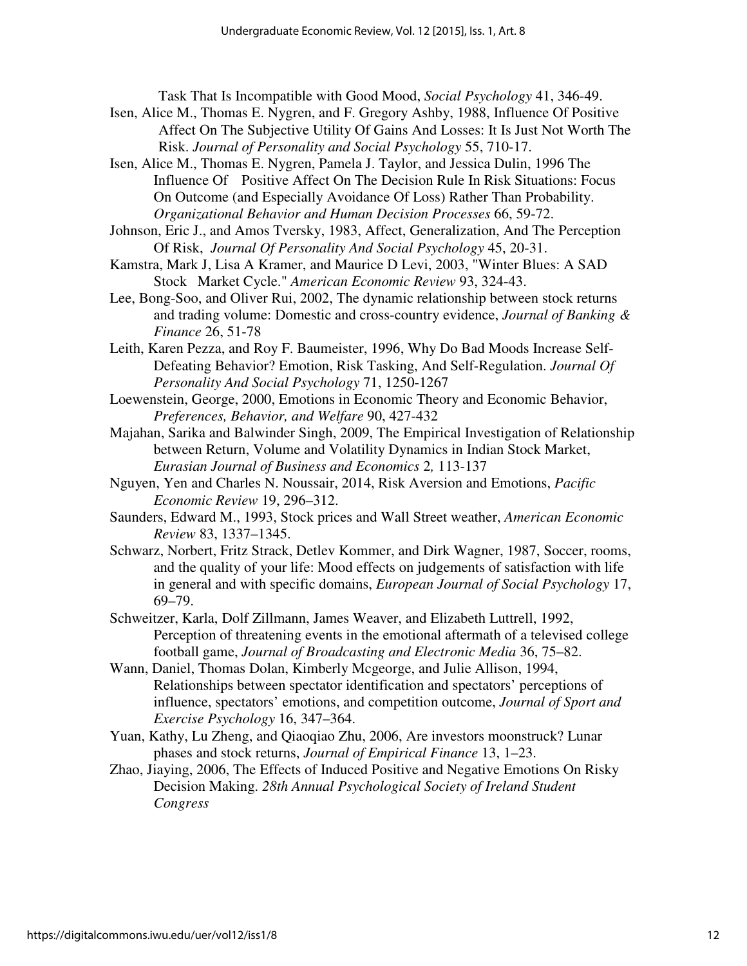Task That Is Incompatible with Good Mood, *Social Psychology* 41, 346-49.

- Isen, Alice M., Thomas E. Nygren, and F. Gregory Ashby, 1988, Influence Of Positive Affect On The Subjective Utility Of Gains And Losses: It Is Just Not Worth The Risk. *Journal of Personality and Social Psychology* 55, 710-17.
- Isen, Alice M., Thomas E. Nygren, Pamela J. Taylor, and Jessica Dulin, 1996 The Influence Of Positive Affect On The Decision Rule In Risk Situations: Focus On Outcome (and Especially Avoidance Of Loss) Rather Than Probability. *Organizational Behavior and Human Decision Processes* 66, 59-72.
- Johnson, Eric J., and Amos Tversky, 1983, Affect, Generalization, And The Perception Of Risk, *Journal Of Personality And Social Psychology* 45, 20-31.
- Kamstra, Mark J, Lisa A Kramer, and Maurice D Levi, 2003, "Winter Blues: A SAD Stock Market Cycle." *American Economic Review* 93, 324-43.
- Lee, Bong-Soo, and Oliver Rui, 2002, The dynamic relationship between stock returns and trading volume: Domestic and cross-country evidence, *Journal of Banking & Finance* 26, 51-78
- Leith, Karen Pezza, and Roy F. Baumeister, 1996, Why Do Bad Moods Increase Self- Defeating Behavior? Emotion, Risk Tasking, And Self-Regulation. *Journal Of Personality And Social Psychology* 71, 1250-1267
- Loewenstein, George, 2000, Emotions in Economic Theory and Economic Behavior, *Preferences, Behavior, and Welfare* 90, 427-432
- Majahan, Sarika and Balwinder Singh, 2009, The Empirical Investigation of Relationship between Return, Volume and Volatility Dynamics in Indian Stock Market, *Eurasian Journal of Business and Economics* 2*,* 113-137
- Nguyen, Yen and Charles N. Noussair, 2014, Risk Aversion and Emotions, *Pacific Economic Review* 19, 296–312.
- Saunders, Edward M., 1993, Stock prices and Wall Street weather, *American Economic Review* 83, 1337–1345.
- Schwarz, Norbert, Fritz Strack, Detlev Kommer, and Dirk Wagner, 1987, Soccer, rooms, and the quality of your life: Mood effects on judgements of satisfaction with life in general and with specific domains, *European Journal of Social Psychology* 17, 69–79.
- Schweitzer, Karla, Dolf Zillmann, James Weaver, and Elizabeth Luttrell, 1992, Perception of threatening events in the emotional aftermath of a televised college football game, *Journal of Broadcasting and Electronic Media* 36, 75–82.
- Wann, Daniel, Thomas Dolan, Kimberly Mcgeorge, and Julie Allison, 1994, Relationships between spectator identification and spectators' perceptions of influence, spectators' emotions, and competition outcome, *Journal of Sport and Exercise Psychology* 16, 347–364.
- Yuan, Kathy, Lu Zheng, and Qiaoqiao Zhu, 2006, Are investors moonstruck? Lunar phases and stock returns, *Journal of Empirical Finance* 13, 1–23.
- Zhao, Jiaying, 2006, The Effects of Induced Positive and Negative Emotions On Risky Decision Making. *28th Annual Psychological Society of Ireland Student Congress*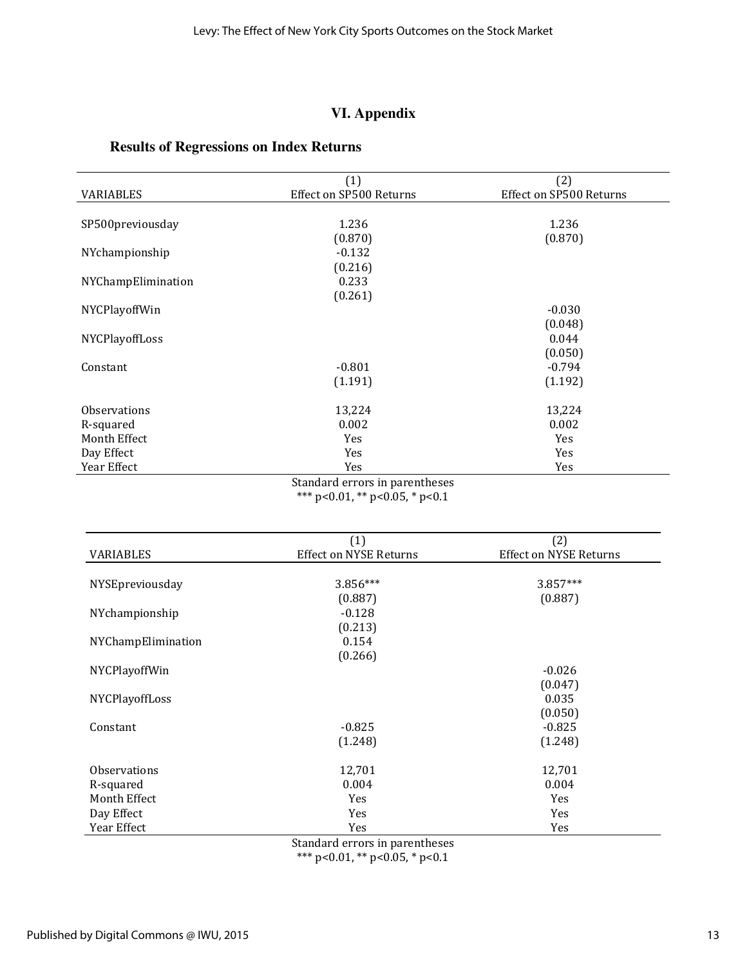## **VI. Appendix**

## **Results of Regressions on Index Returns**

|                    | (1)                     | (2)                     |
|--------------------|-------------------------|-------------------------|
| <b>VARIABLES</b>   | Effect on SP500 Returns | Effect on SP500 Returns |
|                    |                         |                         |
| SP500previousday   | 1.236                   | 1.236                   |
|                    | (0.870)                 | (0.870)                 |
| NYchampionship     | $-0.132$                |                         |
|                    | (0.216)                 |                         |
| NYChampElimination | 0.233                   |                         |
|                    | (0.261)                 |                         |
| NYCPlayoffWin      |                         | $-0.030$                |
|                    |                         | (0.048)                 |
| NYCPlayoffLoss     |                         | 0.044                   |
|                    |                         | (0.050)                 |
| Constant           | $-0.801$                | $-0.794$                |
|                    | (1.191)                 | (1.192)                 |
|                    |                         |                         |
| Observations       | 13,224                  | 13,224                  |
| R-squared          | 0.002                   | 0.002                   |
| Month Effect       | <b>Yes</b>              | Yes                     |
| Day Effect         | Yes                     | Yes                     |
| Year Effect        | Yes                     | Yes                     |

Standard errors in parentheses \*\*\* p<0.01, \*\* p<0.05, \* p<0.1

|                    | (1)                           | (2)                           |
|--------------------|-------------------------------|-------------------------------|
| VARIABLES          | <b>Effect on NYSE Returns</b> | <b>Effect on NYSE Returns</b> |
|                    |                               |                               |
| NYSEpreviousday    | 3.856***                      | 3.857***                      |
|                    | (0.887)                       | (0.887)                       |
| NYchampionship     | $-0.128$                      |                               |
|                    | (0.213)                       |                               |
| NYChampElimination | 0.154                         |                               |
|                    | (0.266)                       |                               |
| NYCPlayoffWin      |                               | $-0.026$                      |
|                    |                               | (0.047)                       |
| NYCPlayoffLoss     |                               | 0.035                         |
|                    |                               | (0.050)                       |
| Constant           | $-0.825$                      | $-0.825$                      |
|                    | (1.248)                       | (1.248)                       |
|                    |                               |                               |
| Observations       | 12,701                        | 12,701                        |
| R-squared          | 0.004                         | 0.004                         |
| Month Effect       | <b>Yes</b>                    | Yes                           |
| Day Effect         | Yes                           | Yes                           |
| Year Effect        | Yes                           | Yes                           |

Standard errors in parentheses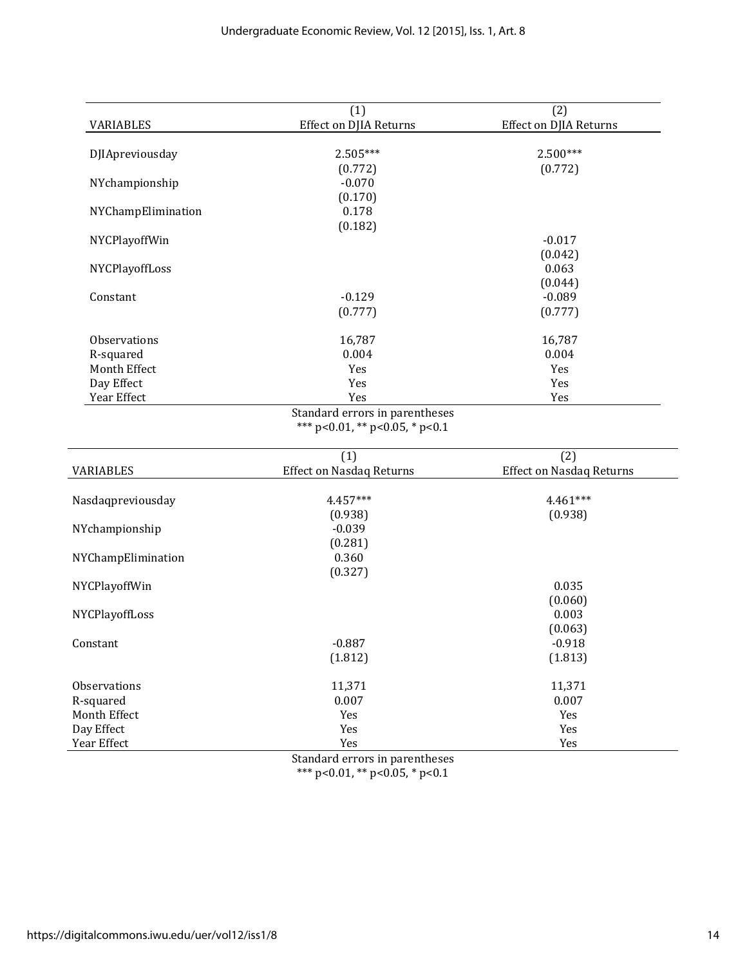| <b>VARIABLES</b>   | (1)<br><b>Effect on DJIA Returns</b>   | (2)<br><b>Effect on DJIA Returns</b>   |
|--------------------|----------------------------------------|----------------------------------------|
|                    |                                        |                                        |
| DJIApreviousday    | $2.505***$                             | $2.500***$                             |
|                    | (0.772)                                | (0.772)                                |
| NYchampionship     | $-0.070$                               |                                        |
|                    | (0.170)                                |                                        |
| NYChampElimination | 0.178                                  |                                        |
|                    | (0.182)                                |                                        |
| NYCPlayoffWin      |                                        | $-0.017$                               |
|                    |                                        | (0.042)                                |
| NYCPlayoffLoss     |                                        | 0.063                                  |
|                    |                                        | (0.044)                                |
| Constant           | $-0.129$                               | $-0.089$                               |
|                    | (0.777)                                | (0.777)                                |
| Observations       | 16,787                                 | 16,787                                 |
| R-squared          | 0.004                                  | 0.004                                  |
| Month Effect       | Yes                                    | Yes                                    |
| Day Effect         | Yes                                    | Yes                                    |
| Year Effect        | Yes                                    | Yes                                    |
| VARIABLES          | (1)<br><b>Effect on Nasdaq Returns</b> | (2)<br><b>Effect on Nasdaq Returns</b> |
|                    |                                        |                                        |
| Nasdaqpreviousday  | 4.457***                               | 4.461***                               |
|                    | (0.938)                                | (0.938)                                |
| NYchampionship     | $-0.039$                               |                                        |
|                    | (0.281)                                |                                        |
| NYChampElimination | 0.360                                  |                                        |
|                    | (0.327)                                |                                        |
| NYCPlayoffWin      |                                        | 0.035                                  |
|                    |                                        | (0.060)                                |
| NYCPlayoffLoss     |                                        | 0.003                                  |
|                    |                                        | (0.063)                                |
| Constant           | $-0.887$                               | $-0.918$                               |
|                    | (1.812)                                | (1.813)                                |
| Observations       | 11,371                                 | 11,371                                 |
| R-squared          | 0.007                                  | 0.007                                  |
| Month Effect       | Yes                                    | Yes                                    |
| Day Effect         | Yes                                    | Yes                                    |
|                    |                                        |                                        |
| Year Effect        | Yes                                    | Yes                                    |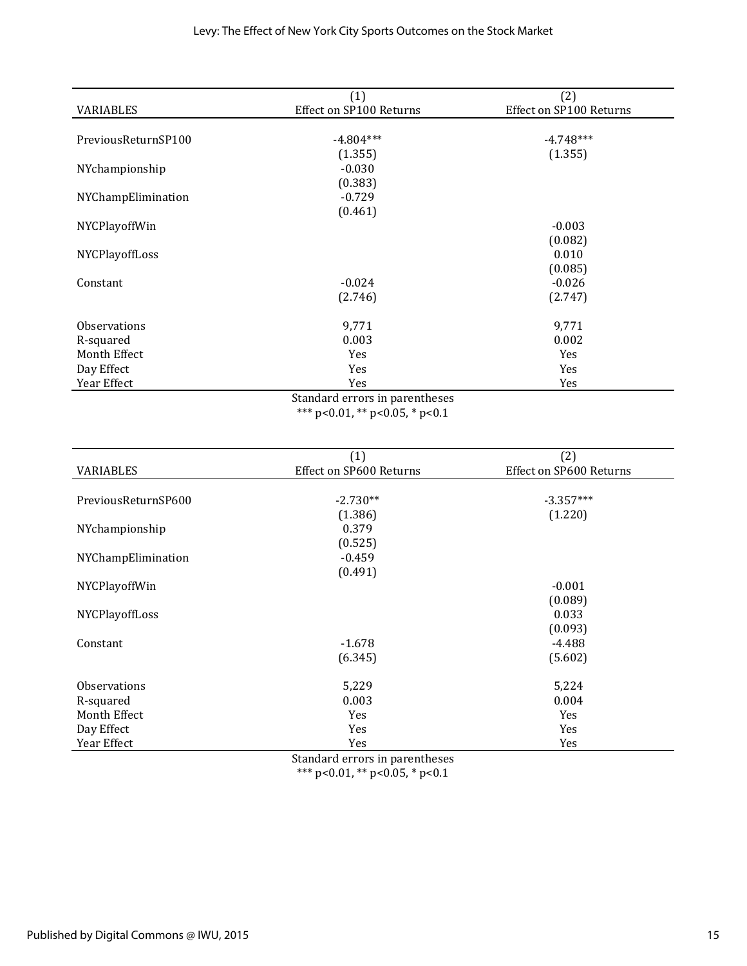|                                | (1)                     | (2)                     |  |  |
|--------------------------------|-------------------------|-------------------------|--|--|
| <b>VARIABLES</b>               | Effect on SP100 Returns | Effect on SP100 Returns |  |  |
|                                |                         |                         |  |  |
| PreviousReturnSP100            | $-4.804***$             | $-4.748***$             |  |  |
|                                | (1.355)                 | (1.355)                 |  |  |
| NYchampionship                 | $-0.030$                |                         |  |  |
|                                | (0.383)                 |                         |  |  |
| NYChampElimination             | $-0.729$                |                         |  |  |
|                                | (0.461)                 |                         |  |  |
| NYCPlayoffWin                  |                         | $-0.003$                |  |  |
|                                |                         | (0.082)                 |  |  |
| NYCPlayoffLoss                 |                         | 0.010                   |  |  |
|                                |                         | (0.085)                 |  |  |
| Constant                       | $-0.024$                | $-0.026$                |  |  |
|                                | (2.746)                 | (2.747)                 |  |  |
| <b>Observations</b>            | 9,771                   | 9,771                   |  |  |
| R-squared                      | 0.003                   | 0.002                   |  |  |
| Month Effect                   | Yes                     | Yes                     |  |  |
| Day Effect                     | Yes                     | Yes                     |  |  |
| Year Effect                    | Yes                     | Yes                     |  |  |
| Standard errors in parentheses |                         |                         |  |  |

Standard errors in parentheses \*\*\* p<0.01, \*\* p<0.05, \* p<0.1

|                     | (1)                     | (2)                     |
|---------------------|-------------------------|-------------------------|
| VARIABLES           | Effect on SP600 Returns | Effect on SP600 Returns |
|                     |                         |                         |
| PreviousReturnSP600 | $-2.730**$              | $-3.357***$             |
|                     | (1.386)                 | (1.220)                 |
| NYchampionship      | 0.379                   |                         |
|                     | (0.525)                 |                         |
| NYChampElimination  | $-0.459$                |                         |
|                     | (0.491)                 |                         |
| NYCPlayoffWin       |                         | $-0.001$                |
|                     |                         | (0.089)                 |
| NYCPlayoffLoss      |                         | 0.033                   |
|                     |                         | (0.093)                 |
| Constant            | $-1.678$                | -4.488                  |
|                     | (6.345)                 | (5.602)                 |
|                     |                         |                         |
| <b>Observations</b> | 5,229                   | 5,224                   |
| R-squared           | 0.003                   | 0.004                   |
| Month Effect        | Yes                     | Yes                     |
| Day Effect          | Yes                     | Yes                     |
| Year Effect         | Yes                     | Yes                     |

Standard errors in parentheses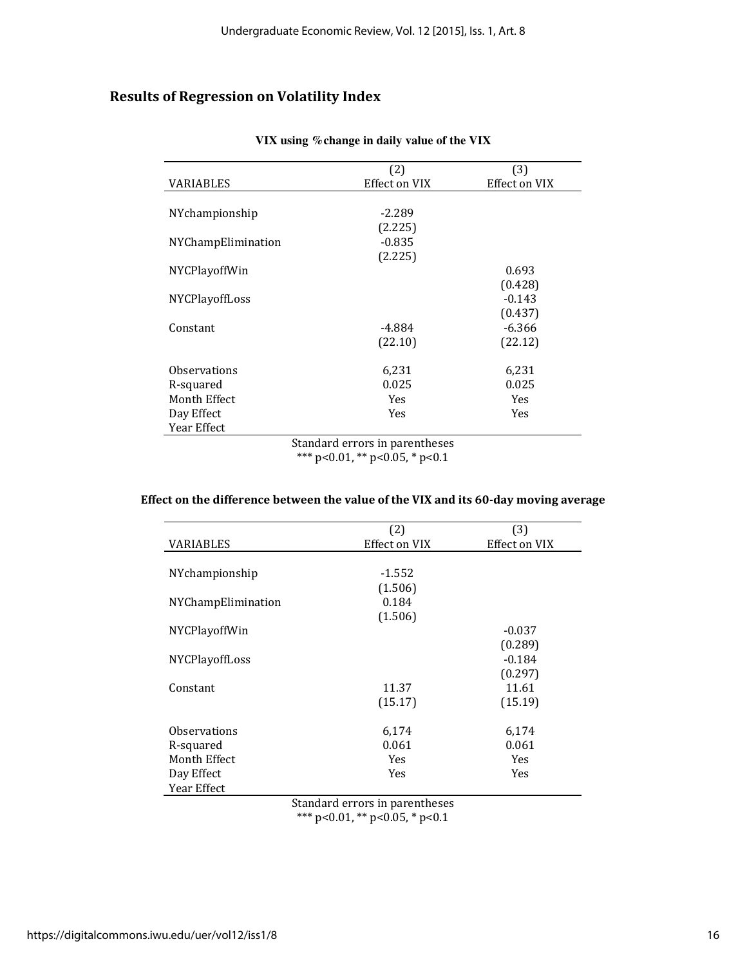# Results of Regression on Volatility Index

|                       | (2)           | (3)                  |
|-----------------------|---------------|----------------------|
| VARIABLES             | Effect on VIX | <b>Effect on VIX</b> |
|                       |               |                      |
| NYchampionship        | $-2.289$      |                      |
|                       | (2.225)       |                      |
| NYChampElimination    | $-0.835$      |                      |
|                       | (2.225)       |                      |
| <b>NYCPlayoffWin</b>  |               | 0.693                |
|                       |               | (0.428)              |
| <b>NYCPlayoffLoss</b> |               | $-0.143$             |
|                       |               | (0.437)              |
| Constant              | -4.884        | $-6.366$             |
|                       | (22.10)       | (22.12)              |
| Observations          | 6,231         | 6,231                |
| R-squared             | 0.025         | 0.025                |
| Month Effect          | Yes           | Yes                  |
| Day Effect            | Yes           | Yes                  |
| Year Effect           |               |                      |
| $\alpha$ , $\alpha$   |               |                      |

#### **VIX using %change in daily value of the VIX**

Standard errors in parentheses \*\*\* p<0.01, \*\* p<0.05, \* p<0.1

# Effect on the difference between the value of the VIX and its 60-day moving average

|                       | (2)           | (3)           |
|-----------------------|---------------|---------------|
| VARIABLES             | Effect on VIX | Effect on VIX |
|                       |               |               |
| NYchampionship        | $-1.552$      |               |
|                       | (1.506)       |               |
| NYChampElimination    | 0.184         |               |
|                       | (1.506)       |               |
| <b>NYCPlayoffWin</b>  |               | $-0.037$      |
|                       |               | (0.289)       |
| <b>NYCPlayoffLoss</b> |               | $-0.184$      |
|                       |               | (0.297)       |
| Constant              | 11.37         | 11.61         |
|                       | (15.17)       | (15.19)       |
| Observations          | 6,174         | 6,174         |
| R-squared             | 0.061         | 0.061         |
| Month Effect          | Yes           | Yes           |
| Day Effect            | Yes           | Yes           |
| Year Effect           |               |               |

Standard errors in parentheses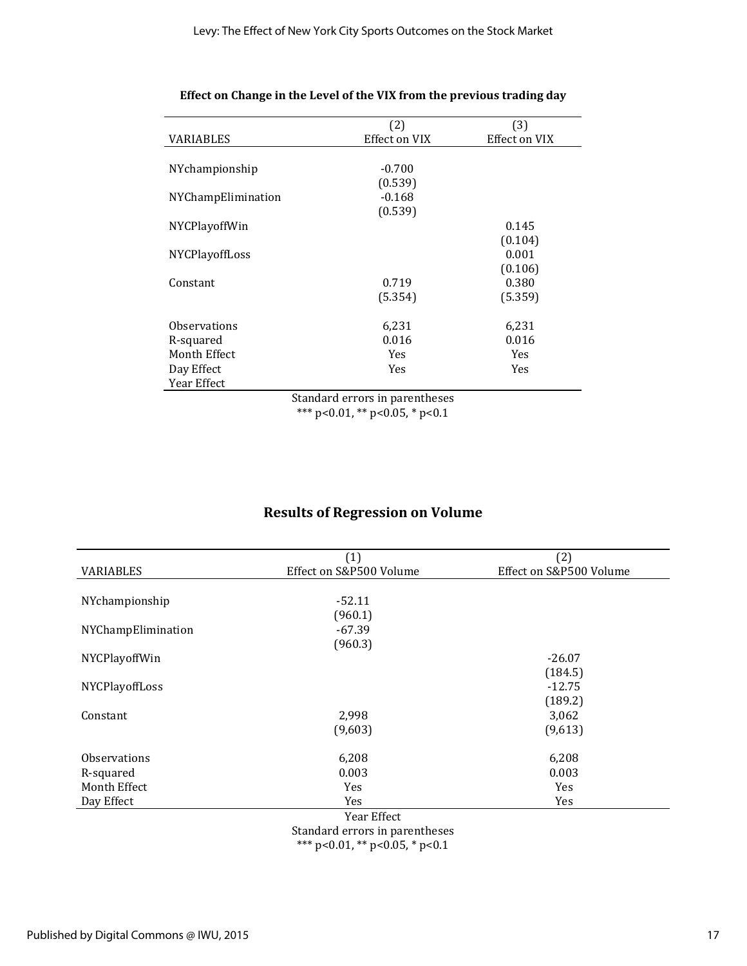|                       | (2)                            | (3)                  |
|-----------------------|--------------------------------|----------------------|
| VARIABLES             | Effect on VIX                  | <b>Effect on VIX</b> |
|                       |                                |                      |
| NYchampionship        | $-0.700$                       |                      |
|                       | (0.539)                        |                      |
| NYChampElimination    | $-0.168$                       |                      |
|                       | (0.539)                        |                      |
| <b>NYCPlayoffWin</b>  |                                | 0.145                |
|                       |                                | (0.104)              |
| <b>NYCPlayoffLoss</b> |                                | 0.001                |
|                       |                                | (0.106)              |
| Constant              | 0.719                          | 0.380                |
|                       | (5.354)                        | (5.359)              |
|                       |                                |                      |
| Observations          | 6,231                          | 6,231                |
| R-squared             | 0.016                          | 0.016                |
| Month Effect          | Yes                            | Yes                  |
| Day Effect            | Yes                            | Yes                  |
| Year Effect           |                                |                      |
|                       | Standard errors in parentheses |                      |

#### Effect on Change in the Level of the VIX from the previous trading day

\*\*\* p<0.01, \*\* p<0.05, \* p<0.1

# Results of Regression on Volume

|                     | (1)                     | (2)                     |
|---------------------|-------------------------|-------------------------|
| VARIABLES           | Effect on S&P500 Volume | Effect on S&P500 Volume |
|                     |                         |                         |
| NYchampionship      | $-52.11$                |                         |
|                     | (960.1)                 |                         |
| NYChampElimination  | $-67.39$                |                         |
|                     | (960.3)                 |                         |
| NYCPlayoffWin       |                         | $-26.07$                |
|                     |                         | (184.5)                 |
| NYCPlayoffLoss      |                         | $-12.75$                |
|                     |                         | (189.2)                 |
| Constant            | 2,998                   | 3,062                   |
|                     | (9,603)                 | (9,613)                 |
|                     |                         |                         |
| <b>Observations</b> | 6,208                   | 6,208                   |
| R-squared           | 0.003                   | 0.003                   |
| Month Effect        | Yes                     | Yes                     |
| Day Effect          | Yes                     | Yes                     |
|                     | Year Effect             |                         |

Standard errors in parentheses \*\*\* p<0.01, \*\* p<0.05, \* p<0.1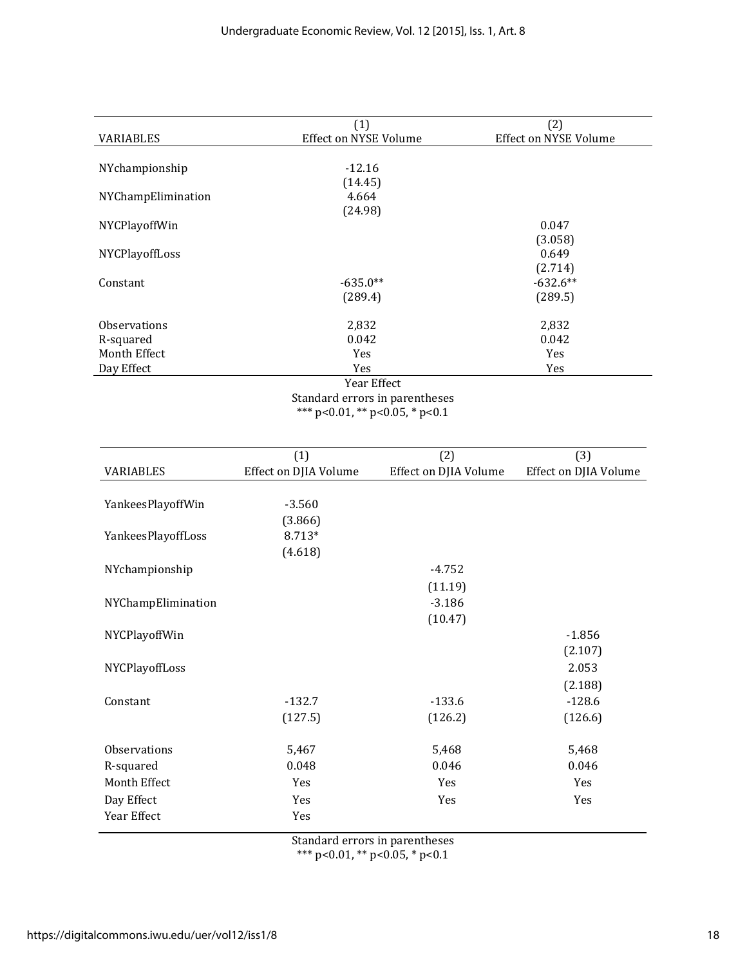|                     | (1)                            | (2)                          |
|---------------------|--------------------------------|------------------------------|
| VARIABLES           | Effect on NYSE Volume          | <b>Effect on NYSE Volume</b> |
|                     |                                |                              |
| NYchampionship      | $-12.16$                       |                              |
|                     | (14.45)                        |                              |
| NYChampElimination  | 4.664                          |                              |
|                     | (24.98)                        |                              |
| NYCPlayoffWin       |                                | 0.047                        |
|                     |                                | (3.058)                      |
| NYCPlayoffLoss      |                                | 0.649                        |
|                     |                                | (2.714)                      |
| Constant            | $-635.0**$                     | $-632.6**$                   |
|                     | (289.4)                        | (289.5)                      |
| <b>Observations</b> | 2,832                          | 2,832                        |
| R-squared           | 0.042                          | 0.042                        |
| Month Effect        | Yes                            | Yes                          |
| Day Effect          | Yes                            | Yes                          |
|                     | Year Effect                    |                              |
|                     | Standard errors in parentheses |                              |

\*\*\* p<0.01, \*\* p<0.05, \* p<0.1

|                    | (1)                   | (2)                   | (3)                   |
|--------------------|-----------------------|-----------------------|-----------------------|
| VARIABLES          | Effect on DJIA Volume | Effect on DJIA Volume | Effect on DJIA Volume |
|                    |                       |                       |                       |
| YankeesPlayoffWin  | $-3.560$              |                       |                       |
|                    | (3.866)               |                       |                       |
| YankeesPlayoffLoss | 8.713*                |                       |                       |
|                    | (4.618)               |                       |                       |
| NYchampionship     |                       | $-4.752$              |                       |
|                    |                       | (11.19)               |                       |
| NYChampElimination |                       | $-3.186$              |                       |
|                    |                       | (10.47)               |                       |
| NYCPlayoffWin      |                       |                       | $-1.856$              |
|                    |                       |                       | (2.107)               |
| NYCPlayoffLoss     |                       |                       | 2.053                 |
|                    |                       |                       | (2.188)               |
| Constant           | $-132.7$              | $-133.6$              | $-128.6$              |
|                    | (127.5)               | (126.2)               | (126.6)               |
|                    |                       |                       |                       |
| Observations       | 5,467                 | 5,468                 | 5,468                 |
| R-squared          | 0.048                 | 0.046                 | 0.046                 |
| Month Effect       | Yes                   | Yes                   | Yes                   |
| Day Effect         | Yes                   | Yes                   | Yes                   |
| Year Effect        | Yes                   |                       |                       |
|                    |                       |                       |                       |

Standard errors in parentheses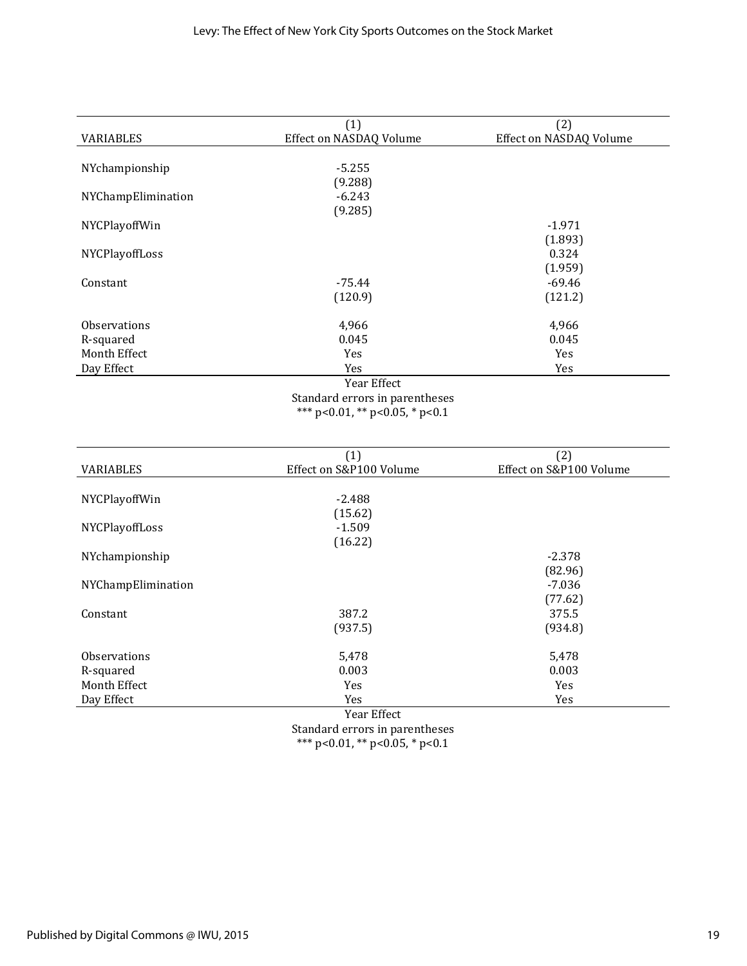|                     | (1)                            | (2)                     |
|---------------------|--------------------------------|-------------------------|
| VARIABLES           | Effect on NASDAQ Volume        | Effect on NASDAQ Volume |
|                     |                                |                         |
| NYchampionship      | $-5.255$                       |                         |
|                     | (9.288)                        |                         |
| NYChampElimination  | $-6.243$                       |                         |
|                     | (9.285)                        |                         |
| NYCPlayoffWin       |                                | $-1.971$                |
|                     |                                | (1.893)                 |
| NYCPlayoffLoss      |                                | 0.324                   |
|                     |                                | (1.959)                 |
| Constant            | $-75.44$                       | $-69.46$                |
|                     | (120.9)                        | (121.2)                 |
|                     |                                |                         |
| <b>Observations</b> | 4,966                          | 4,966                   |
| R-squared           | 0.045                          | 0.045                   |
| Month Effect        | Yes                            | Yes                     |
| Day Effect          | Yes                            | Yes                     |
|                     | Year Effect                    |                         |
|                     | Standard errors in parentheses |                         |

Standard errors in parentheses \*\*\* p<0.01, \*\* p<0.05, \* p<0.1

|                     | (1)                     | (2)                     |
|---------------------|-------------------------|-------------------------|
| VARIABLES           | Effect on S&P100 Volume | Effect on S&P100 Volume |
|                     |                         |                         |
| NYCPlayoffWin       | $-2.488$                |                         |
|                     | (15.62)                 |                         |
| NYCPlayoffLoss      | $-1.509$                |                         |
|                     | (16.22)                 |                         |
| NYchampionship      |                         | $-2.378$                |
|                     |                         | (82.96)                 |
| NYChampElimination  |                         | $-7.036$                |
|                     |                         | (77.62)                 |
| Constant            | 387.2                   | 375.5                   |
|                     | (937.5)                 | (934.8)                 |
| <b>Observations</b> | 5,478                   | 5,478                   |
| R-squared           | 0.003                   | 0.003                   |
| Month Effect        | Yes                     | <b>Yes</b>              |
| Day Effect          | Yes                     | Yes                     |
|                     | Year Effect             |                         |

Year Effect Standard errors in parentheses \*\*\* p<0.01, \*\* p<0.05, \* p<0.1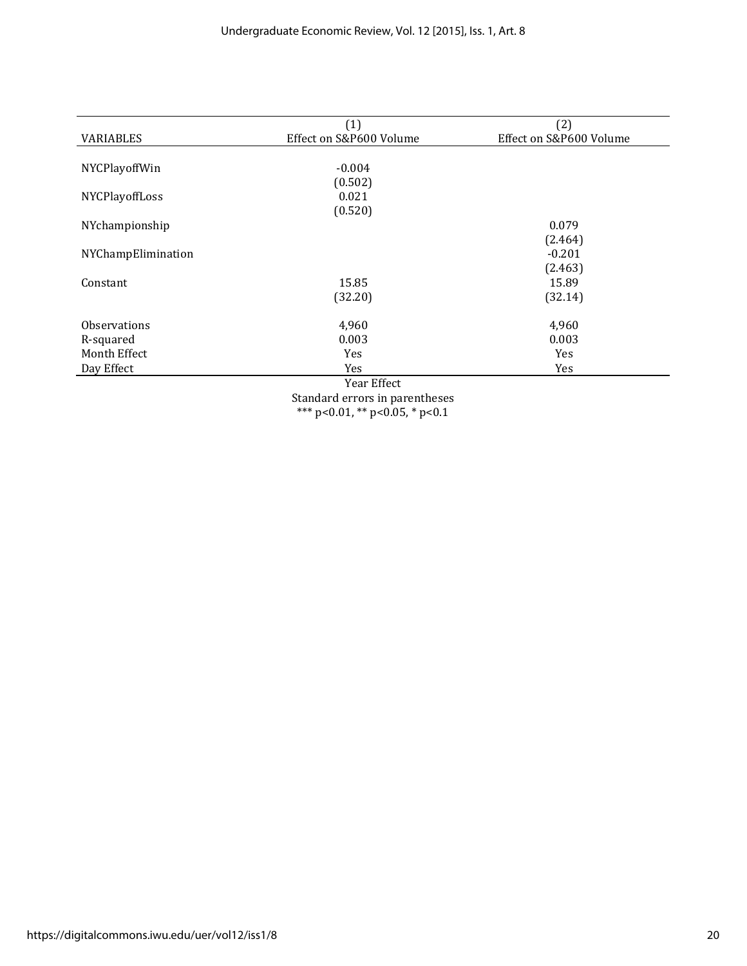|                     | (1)                     | (2)                     |
|---------------------|-------------------------|-------------------------|
| <b>VARIABLES</b>    | Effect on S&P600 Volume | Effect on S&P600 Volume |
|                     |                         |                         |
| NYCPlayoffWin       | $-0.004$                |                         |
|                     | (0.502)                 |                         |
| NYCPlayoffLoss      | 0.021                   |                         |
|                     | (0.520)                 |                         |
| NYchampionship      |                         | 0.079                   |
|                     |                         | (2.464)                 |
| NYChampElimination  |                         | $-0.201$                |
|                     |                         | (2.463)                 |
| Constant            | 15.85                   | 15.89                   |
|                     | (32.20)                 | (32.14)                 |
| <b>Observations</b> | 4,960                   | 4,960                   |
| R-squared           | 0.003                   | 0.003                   |
| Month Effect        | Yes                     | Yes                     |
| Day Effect          | Yes                     | Yes                     |
|                     | Year Effect             |                         |
|                     | $\alpha$ , 1 1 . 1      |                         |

Standard errors in parentheses \*\*\* p<0.01, \*\* p<0.05, \* p<0.1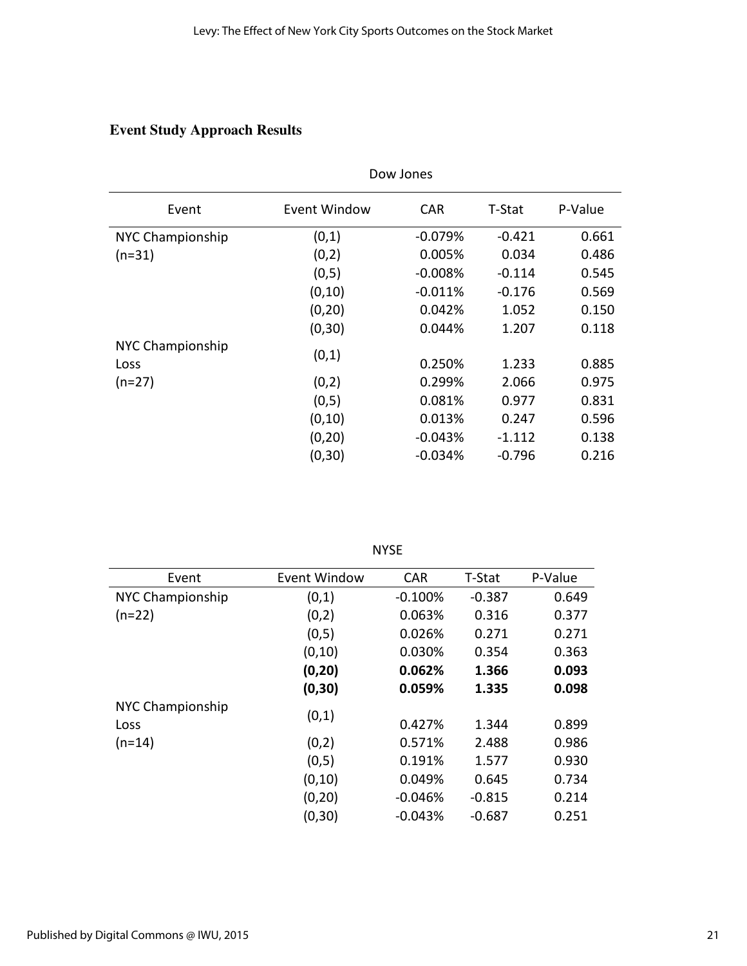# **Event Study Approach Results**

|                                 | Dow Jones    |            |          |         |  |
|---------------------------------|--------------|------------|----------|---------|--|
| Event                           | Event Window | <b>CAR</b> | T-Stat   | P-Value |  |
| NYC Championship                | (0,1)        | $-0.079%$  | $-0.421$ | 0.661   |  |
| $(n=31)$                        | (0,2)        | 0.005%     | 0.034    | 0.486   |  |
|                                 | (0,5)        | $-0.008%$  | $-0.114$ | 0.545   |  |
|                                 | (0, 10)      | $-0.011%$  | $-0.176$ | 0.569   |  |
|                                 | (0, 20)      | 0.042%     | 1.052    | 0.150   |  |
|                                 | (0, 30)      | 0.044%     | 1.207    | 0.118   |  |
| NYC Championship<br><b>Loss</b> | (0,1)        | 0.250%     | 1.233    | 0.885   |  |
| $(n=27)$                        | (0,2)        | 0.299%     | 2.066    | 0.975   |  |
|                                 | (0,5)        | 0.081%     | 0.977    | 0.831   |  |
|                                 | (0, 10)      | 0.013%     | 0.247    | 0.596   |  |
|                                 | (0, 20)      | $-0.043%$  | $-1.112$ | 0.138   |  |
|                                 | (0, 30)      | $-0.034%$  | $-0.796$ | 0.216   |  |

| w<br>۰, |
|---------|
|---------|

| Event            | <b>Event Window</b> | <b>CAR</b> | T-Stat   | P-Value |
|------------------|---------------------|------------|----------|---------|
| NYC Championship | (0,1)               | $-0.100%$  | $-0.387$ | 0.649   |
| $(n=22)$         | (0,2)               | 0.063%     | 0.316    | 0.377   |
|                  | (0,5)               | 0.026%     | 0.271    | 0.271   |
|                  | (0, 10)             | 0.030%     | 0.354    | 0.363   |
|                  | (0, 20)             | 0.062%     | 1.366    | 0.093   |
|                  | (0, 30)             | 0.059%     | 1.335    | 0.098   |
| NYC Championship | (0,1)               |            |          |         |
| Loss             |                     | 0.427%     | 1.344    | 0.899   |
| $(n=14)$         | (0,2)               | 0.571%     | 2.488    | 0.986   |
|                  | (0,5)               | 0.191%     | 1.577    | 0.930   |
|                  | (0, 10)             | 0.049%     | 0.645    | 0.734   |
|                  | (0, 20)             | $-0.046%$  | $-0.815$ | 0.214   |
|                  | (0, 30)             | $-0.043%$  | $-0.687$ | 0.251   |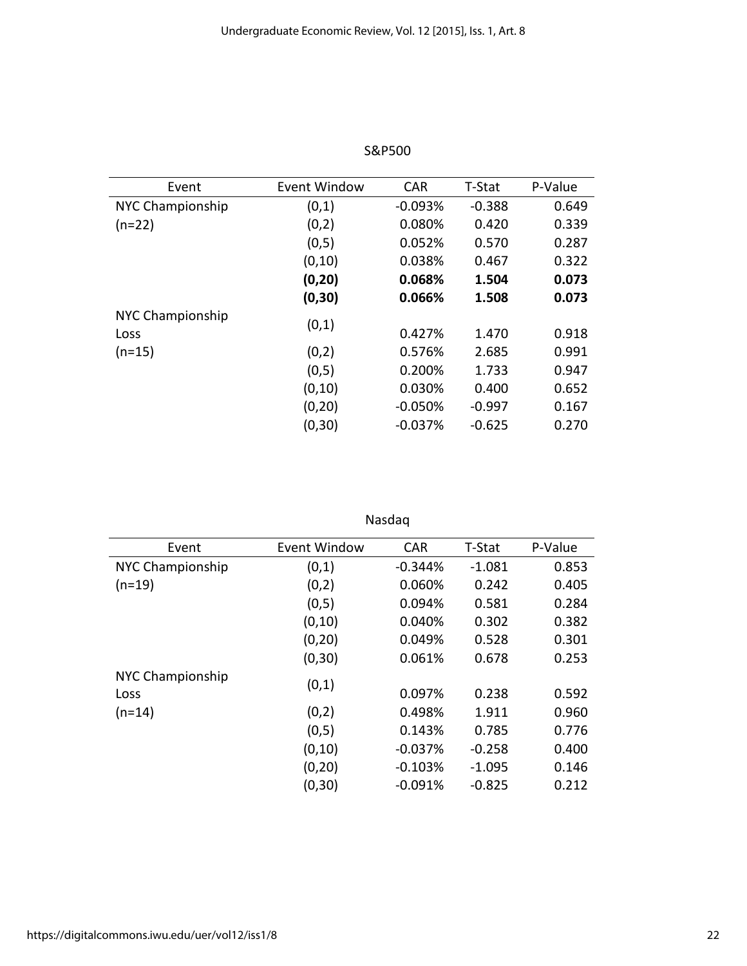| Event                    | Event Window | <b>CAR</b> | T-Stat   | P-Value |
|--------------------------|--------------|------------|----------|---------|
| NYC Championship         | (0,1)        | $-0.093%$  | $-0.388$ | 0.649   |
| $(n=22)$                 | (0,2)        | 0.080%     | 0.420    | 0.339   |
|                          | (0,5)        | 0.052%     | 0.570    | 0.287   |
|                          | (0, 10)      | 0.038%     | 0.467    | 0.322   |
|                          | (0, 20)      | 0.068%     | 1.504    | 0.073   |
|                          | (0, 30)      | 0.066%     | 1.508    | 0.073   |
| NYC Championship<br>Loss | (0,1)        | 0.427%     | 1.470    | 0.918   |
| $(n=15)$                 | (0,2)        | 0.576%     | 2.685    | 0.991   |
|                          | (0,5)        | 0.200%     | 1.733    | 0.947   |
|                          | (0, 10)      | 0.030%     | 0.400    | 0.652   |
|                          | (0, 20)      | $-0.050%$  | $-0.997$ | 0.167   |
|                          | (0, 30)      | $-0.037%$  | $-0.625$ | 0.270   |

S&P500

Nasdaq

| Event            | Event Window | <b>CAR</b> | T-Stat   | P-Value |
|------------------|--------------|------------|----------|---------|
| NYC Championship | (0,1)        | $-0.344%$  | $-1.081$ | 0.853   |
| $(n=19)$         | (0,2)        | 0.060%     | 0.242    | 0.405   |
|                  | (0,5)        | 0.094%     | 0.581    | 0.284   |
|                  | (0, 10)      | 0.040%     | 0.302    | 0.382   |
|                  | (0, 20)      | 0.049%     | 0.528    | 0.301   |
|                  | (0, 30)      | 0.061%     | 0.678    | 0.253   |
| NYC Championship |              |            |          |         |
| Loss             | (0,1)        | 0.097%     | 0.238    | 0.592   |
| $(n=14)$         | (0,2)        | 0.498%     | 1.911    | 0.960   |
|                  | (0,5)        | 0.143%     | 0.785    | 0.776   |
|                  | (0, 10)      | $-0.037%$  | $-0.258$ | 0.400   |
|                  | (0, 20)      | $-0.103%$  | $-1.095$ | 0.146   |
|                  | (0, 30)      | $-0.091%$  | $-0.825$ | 0.212   |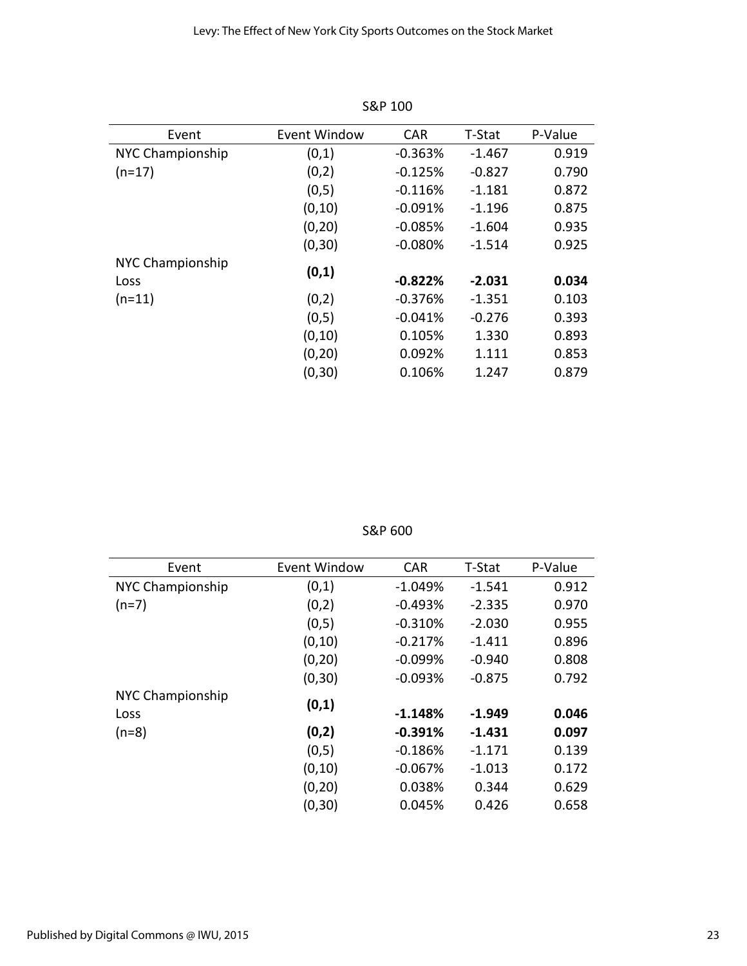| Event            | <b>Event Window</b> | <b>CAR</b> | T-Stat   | P-Value |
|------------------|---------------------|------------|----------|---------|
| NYC Championship | (0,1)               | $-0.363%$  | $-1.467$ | 0.919   |
| $(n=17)$         | (0,2)               | $-0.125%$  | $-0.827$ | 0.790   |
|                  | (0,5)               | $-0.116%$  | $-1.181$ | 0.872   |
|                  | (0, 10)             | $-0.091%$  | $-1.196$ | 0.875   |
|                  | (0, 20)             | $-0.085%$  | $-1.604$ | 0.935   |
|                  | (0, 30)             | $-0.080%$  | $-1.514$ | 0.925   |
| NYC Championship | (0,1)               |            |          |         |
| Loss             |                     | $-0.822%$  | $-2.031$ | 0.034   |
| $(n=11)$         | (0,2)               | $-0.376%$  | $-1.351$ | 0.103   |
|                  | (0,5)               | $-0.041%$  | $-0.276$ | 0.393   |
|                  | (0, 10)             | 0.105%     | 1.330    | 0.893   |
|                  | (0, 20)             | 0.092%     | 1.111    | 0.853   |
|                  | (0, 30)             | 0.106%     | 1.247    | 0.879   |

S&P 100

S&P 600

| Event            | Event Window | <b>CAR</b> | T-Stat   | P-Value |
|------------------|--------------|------------|----------|---------|
| NYC Championship | (0,1)        | $-1.049%$  | $-1.541$ | 0.912   |
| $(n=7)$          | (0,2)        | $-0.493%$  | $-2.335$ | 0.970   |
|                  | (0,5)        | $-0.310%$  | $-2.030$ | 0.955   |
|                  | (0, 10)      | $-0.217%$  | $-1.411$ | 0.896   |
|                  | (0, 20)      | $-0.099%$  | $-0.940$ | 0.808   |
|                  | (0, 30)      | $-0.093%$  | $-0.875$ | 0.792   |
| NYC Championship |              |            |          |         |
| Loss             | (0,1)        | $-1.148%$  | $-1.949$ | 0.046   |
| $(n=8)$          | (0,2)        | $-0.391%$  | $-1.431$ | 0.097   |
|                  | (0,5)        | $-0.186%$  | $-1.171$ | 0.139   |
|                  | (0, 10)      | $-0.067%$  | $-1.013$ | 0.172   |
|                  | (0, 20)      | 0.038%     | 0.344    | 0.629   |
|                  | (0, 30)      | 0.045%     | 0.426    | 0.658   |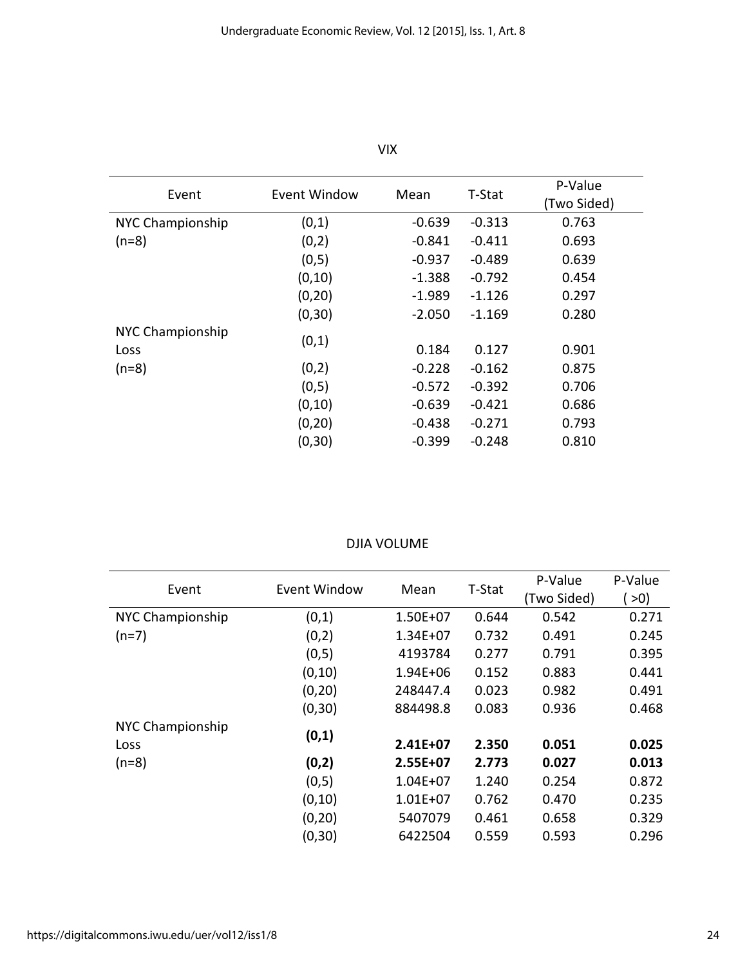| Event            | Event Window | Mean     | T-Stat   | P-Value     |
|------------------|--------------|----------|----------|-------------|
|                  |              |          |          | (Two Sided) |
| NYC Championship | (0,1)        | $-0.639$ | $-0.313$ | 0.763       |
| $(n=8)$          | (0,2)        | $-0.841$ | $-0.411$ | 0.693       |
|                  | (0,5)        | $-0.937$ | $-0.489$ | 0.639       |
|                  | (0, 10)      | $-1.388$ | $-0.792$ | 0.454       |
|                  | (0, 20)      | $-1.989$ | -1.126   | 0.297       |
|                  | (0, 30)      | $-2.050$ | $-1.169$ | 0.280       |
| NYC Championship |              |          |          |             |
| Loss             | (0,1)        | 0.184    | 0.127    | 0.901       |
| $(n=8)$          | (0,2)        | $-0.228$ | $-0.162$ | 0.875       |
|                  | (0,5)        | $-0.572$ | $-0.392$ | 0.706       |
|                  | (0, 10)      | $-0.639$ | $-0.421$ | 0.686       |
|                  | (0, 20)      | $-0.438$ | $-0.271$ | 0.793       |
|                  | (0, 30)      | $-0.399$ | $-0.248$ | 0.810       |

VIX

#### DJIA VOLUME

| Event            | Event Window | Mean         | T-Stat | P-Value     | P-Value |
|------------------|--------------|--------------|--------|-------------|---------|
|                  |              |              |        | (Two Sided) | >0)     |
| NYC Championship | (0,1)        | $1.50E + 07$ | 0.644  | 0.542       | 0.271   |
| $(n=7)$          | (0,2)        | $1.34E + 07$ | 0.732  | 0.491       | 0.245   |
|                  | (0,5)        | 4193784      | 0.277  | 0.791       | 0.395   |
|                  | (0, 10)      | $1.94E + 06$ | 0.152  | 0.883       | 0.441   |
|                  | (0, 20)      | 248447.4     | 0.023  | 0.982       | 0.491   |
|                  | (0, 30)      | 884498.8     | 0.083  | 0.936       | 0.468   |
| NYC Championship |              |              |        |             |         |
| Loss             | (0,1)        | 2.41E+07     | 2.350  | 0.051       | 0.025   |
| $(n=8)$          | (0,2)        | 2.55E+07     | 2.773  | 0.027       | 0.013   |
|                  | (0,5)        | $1.04E + 07$ | 1.240  | 0.254       | 0.872   |
|                  | (0, 10)      | $1.01E + 07$ | 0.762  | 0.470       | 0.235   |
|                  | (0, 20)      | 5407079      | 0.461  | 0.658       | 0.329   |
|                  | (0, 30)      | 6422504      | 0.559  | 0.593       | 0.296   |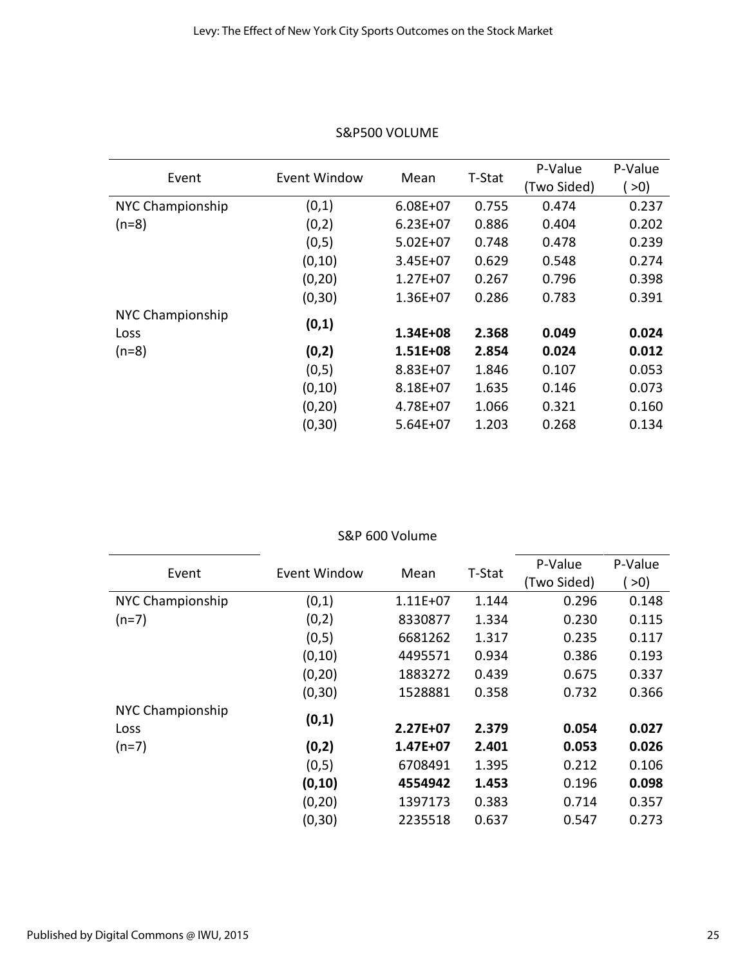| Event            | Event Window | Mean         | T-Stat | P-Value     | P-Value  |
|------------------|--------------|--------------|--------|-------------|----------|
|                  |              |              |        | (Two Sided) | $\geq 0$ |
| NYC Championship | (0,1)        | $6.08E + 07$ | 0.755  | 0.474       | 0.237    |
| $(n=8)$          | (0,2)        | $6.23E+07$   | 0.886  | 0.404       | 0.202    |
|                  | (0,5)        | $5.02E + 07$ | 0.748  | 0.478       | 0.239    |
|                  | (0, 10)      | $3.45E + 07$ | 0.629  | 0.548       | 0.274    |
|                  | (0, 20)      | $1.27E + 07$ | 0.267  | 0.796       | 0.398    |
|                  | (0, 30)      | $1.36E + 07$ | 0.286  | 0.783       | 0.391    |
| NYC Championship |              |              |        |             |          |
| Loss             | (0,1)        | 1.34E+08     | 2.368  | 0.049       | 0.024    |
| $(n=8)$          | (0,2)        | 1.51E+08     | 2.854  | 0.024       | 0.012    |
|                  | (0,5)        | 8.83E+07     | 1.846  | 0.107       | 0.053    |
|                  | (0, 10)      | $8.18E + 07$ | 1.635  | 0.146       | 0.073    |
|                  | (0, 20)      | $4.78E + 07$ | 1.066  | 0.321       | 0.160    |
|                  | (0, 30)      | $5.64E+07$   | 1.203  | 0.268       | 0.134    |

## S&P500 VOLUME

#### S&P 600 Volume

|                  | Event Window |            | T-Stat | P-Value     | P-Value |
|------------------|--------------|------------|--------|-------------|---------|
| Event            |              | Mean       |        | (Two Sided) | >0)     |
| NYC Championship | (0,1)        | $1.11E+07$ | 1.144  | 0.296       | 0.148   |
| $(n=7)$          | (0,2)        | 8330877    | 1.334  | 0.230       | 0.115   |
|                  | (0,5)        | 6681262    | 1.317  | 0.235       | 0.117   |
|                  | (0, 10)      | 4495571    | 0.934  | 0.386       | 0.193   |
|                  | (0, 20)      | 1883272    | 0.439  | 0.675       | 0.337   |
|                  | (0, 30)      | 1528881    | 0.358  | 0.732       | 0.366   |
| NYC Championship |              |            |        |             |         |
| Loss             | (0,1)        | 2.27E+07   | 2.379  | 0.054       | 0.027   |
| $(n=7)$          | (0,2)        | 1.47E+07   | 2.401  | 0.053       | 0.026   |
|                  | (0,5)        | 6708491    | 1.395  | 0.212       | 0.106   |
|                  | (0, 10)      | 4554942    | 1.453  | 0.196       | 0.098   |
|                  | (0, 20)      | 1397173    | 0.383  | 0.714       | 0.357   |
|                  | (0, 30)      | 2235518    | 0.637  | 0.547       | 0.273   |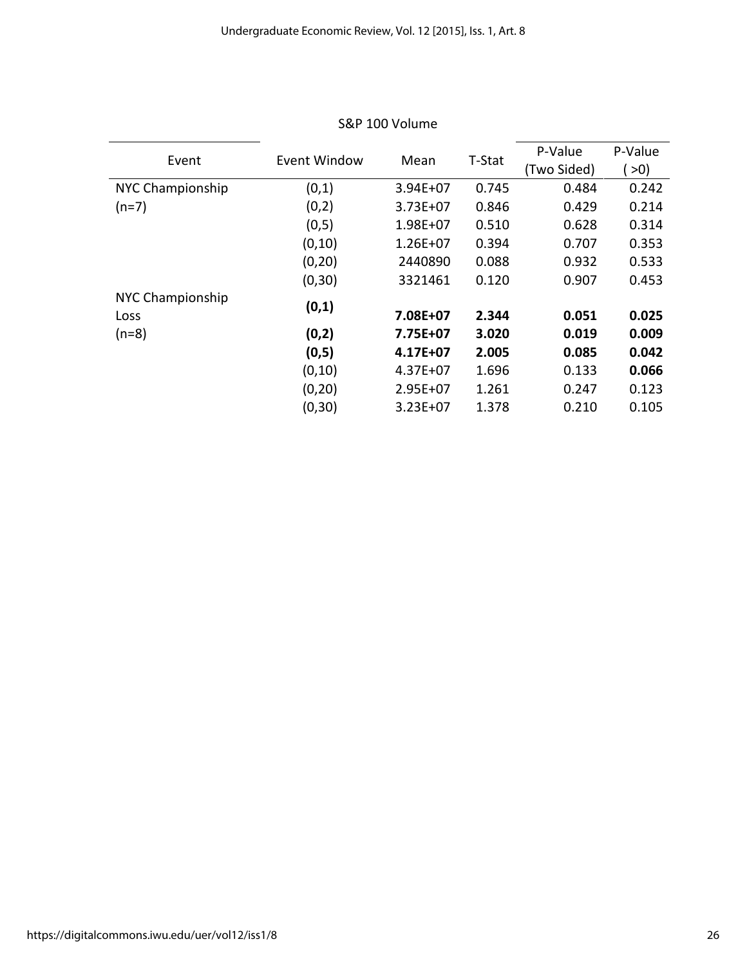| Event            | Event Window | Mean         | T-Stat | P-Value     | P-Value  |
|------------------|--------------|--------------|--------|-------------|----------|
|                  |              |              |        | (Two Sided) | $\geq 0$ |
| NYC Championship | (0,1)        | $3.94E + 07$ | 0.745  | 0.484       | 0.242    |
| $(n=7)$          | (0,2)        | $3.73E + 07$ | 0.846  | 0.429       | 0.214    |
|                  | (0,5)        | $1.98E + 07$ | 0.510  | 0.628       | 0.314    |
|                  | (0, 10)      | $1.26E + 07$ | 0.394  | 0.707       | 0.353    |
|                  | (0, 20)      | 2440890      | 0.088  | 0.932       | 0.533    |
|                  | (0, 30)      | 3321461      | 0.120  | 0.907       | 0.453    |
| NYC Championship |              |              |        |             |          |
| Loss             | (0,1)        | 7.08E+07     | 2.344  | 0.051       | 0.025    |
| $(n=8)$          | (0,2)        | 7.75E+07     | 3.020  | 0.019       | 0.009    |
|                  | (0,5)        | 4.17E+07     | 2.005  | 0.085       | 0.042    |
|                  | (0, 10)      | $4.37E + 07$ | 1.696  | 0.133       | 0.066    |
|                  | (0, 20)      | $2.95E+07$   | 1.261  | 0.247       | 0.123    |
|                  | (0, 30)      | $3.23E+07$   | 1.378  | 0.210       | 0.105    |

## S&P 100 Volume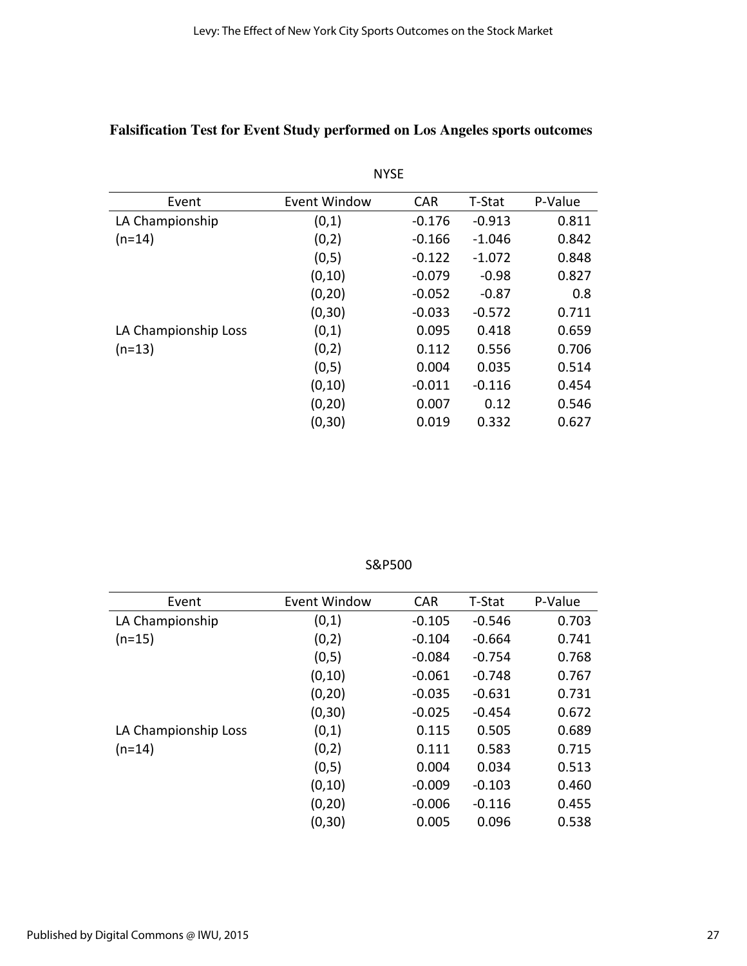# **Falsification Test for Event Study performed on Los Angeles sports outcomes**

| Event                | Event Window | <b>CAR</b> | T-Stat   | P-Value |
|----------------------|--------------|------------|----------|---------|
| LA Championship      | (0,1)        | $-0.176$   | $-0.913$ | 0.811   |
| $(n=14)$             | (0,2)        | $-0.166$   | $-1.046$ | 0.842   |
|                      | (0,5)        | $-0.122$   | $-1.072$ | 0.848   |
|                      | (0, 10)      | $-0.079$   | $-0.98$  | 0.827   |
|                      | (0, 20)      | $-0.052$   | $-0.87$  | 0.8     |
|                      | (0, 30)      | $-0.033$   | $-0.572$ | 0.711   |
| LA Championship Loss | (0,1)        | 0.095      | 0.418    | 0.659   |
| $(n=13)$             | (0,2)        | 0.112      | 0.556    | 0.706   |
|                      | (0,5)        | 0.004      | 0.035    | 0.514   |
|                      | (0, 10)      | $-0.011$   | $-0.116$ | 0.454   |
|                      | (0, 20)      | 0.007      | 0.12     | 0.546   |
|                      | (0, 30)      | 0.019      | 0.332    | 0.627   |
|                      |              |            |          |         |

NYSE

| Event                | Event Window | <b>CAR</b> | T-Stat   | P-Value |
|----------------------|--------------|------------|----------|---------|
| LA Championship      | (0,1)        | $-0.105$   | $-0.546$ | 0.703   |
| $(n=15)$             | (0,2)        | $-0.104$   | $-0.664$ | 0.741   |
|                      | (0,5)        | $-0.084$   | $-0.754$ | 0.768   |
|                      | (0, 10)      | $-0.061$   | $-0.748$ | 0.767   |
|                      | (0, 20)      | $-0.035$   | $-0.631$ | 0.731   |
|                      | (0, 30)      | $-0.025$   | $-0.454$ | 0.672   |
| LA Championship Loss | (0,1)        | 0.115      | 0.505    | 0.689   |
| (n=14)               | (0,2)        | 0.111      | 0.583    | 0.715   |
|                      | (0,5)        | 0.004      | 0.034    | 0.513   |
|                      | (0, 10)      | $-0.009$   | $-0.103$ | 0.460   |
|                      | (0, 20)      | $-0.006$   | $-0.116$ | 0.455   |

S&P500

(0,30) 0.005 0.096 0.538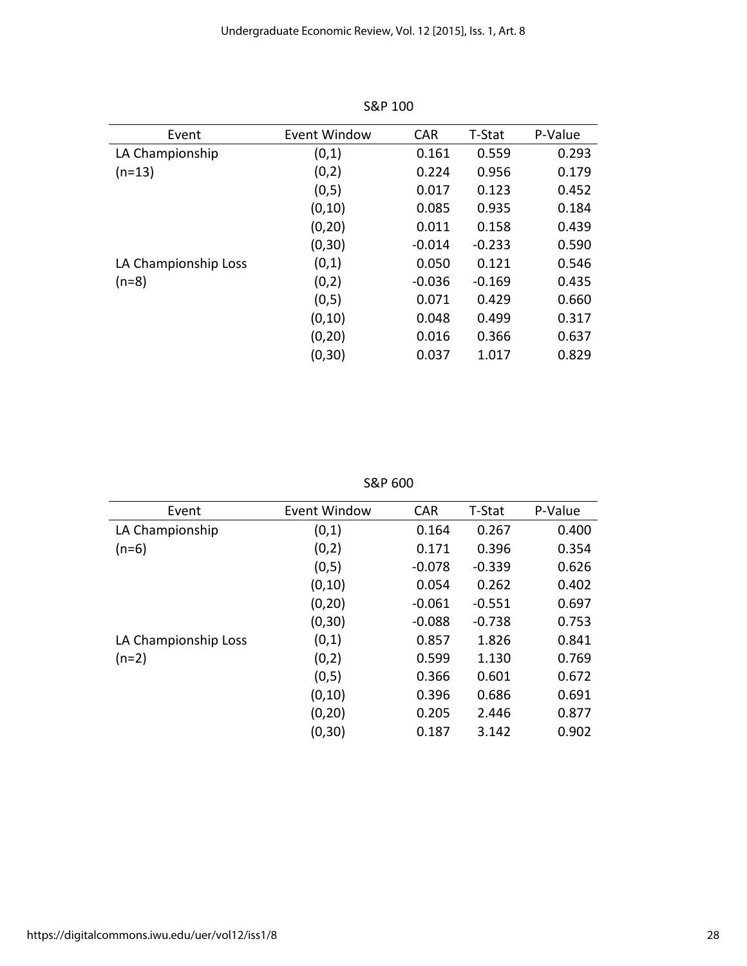| Event                | Event Window | <b>CAR</b> | T-Stat   | P-Value |
|----------------------|--------------|------------|----------|---------|
| LA Championship      | (0,1)        | 0.161      | 0.559    | 0.293   |
| $(n=13)$             | (0,2)        | 0.224      | 0.956    | 0.179   |
|                      | (0,5)        | 0.017      | 0.123    | 0.452   |
|                      | (0, 10)      | 0.085      | 0.935    | 0.184   |
|                      | (0, 20)      | 0.011      | 0.158    | 0.439   |
|                      | (0, 30)      | $-0.014$   | $-0.233$ | 0.590   |
| LA Championship Loss | (0,1)        | 0.050      | 0.121    | 0.546   |
| $(n=8)$              | (0,2)        | $-0.036$   | $-0.169$ | 0.435   |
|                      | (0,5)        | 0.071      | 0.429    | 0.660   |
|                      | (0, 10)      | 0.048      | 0.499    | 0.317   |
|                      | (0, 20)      | 0.016      | 0.366    | 0.637   |
|                      | (0, 30)      | 0.037      | 1.017    | 0.829   |

S&P 100

S&P 600

| Event Window | <b>CAR</b> | T-Stat   | P-Value |
|--------------|------------|----------|---------|
| (0,1)        | 0.164      | 0.267    | 0.400   |
| (0,2)        | 0.171      | 0.396    | 0.354   |
| (0,5)        | $-0.078$   | $-0.339$ | 0.626   |
| (0, 10)      | 0.054      | 0.262    | 0.402   |
| (0, 20)      | $-0.061$   | $-0.551$ | 0.697   |
| (0, 30)      | $-0.088$   | $-0.738$ | 0.753   |
| (0,1)        | 0.857      | 1.826    | 0.841   |
| (0,2)        | 0.599      | 1.130    | 0.769   |
| (0,5)        | 0.366      | 0.601    | 0.672   |
| (0, 10)      | 0.396      | 0.686    | 0.691   |
| (0, 20)      | 0.205      | 2.446    | 0.877   |
| (0, 30)      | 0.187      | 3.142    | 0.902   |
|              |            |          |         |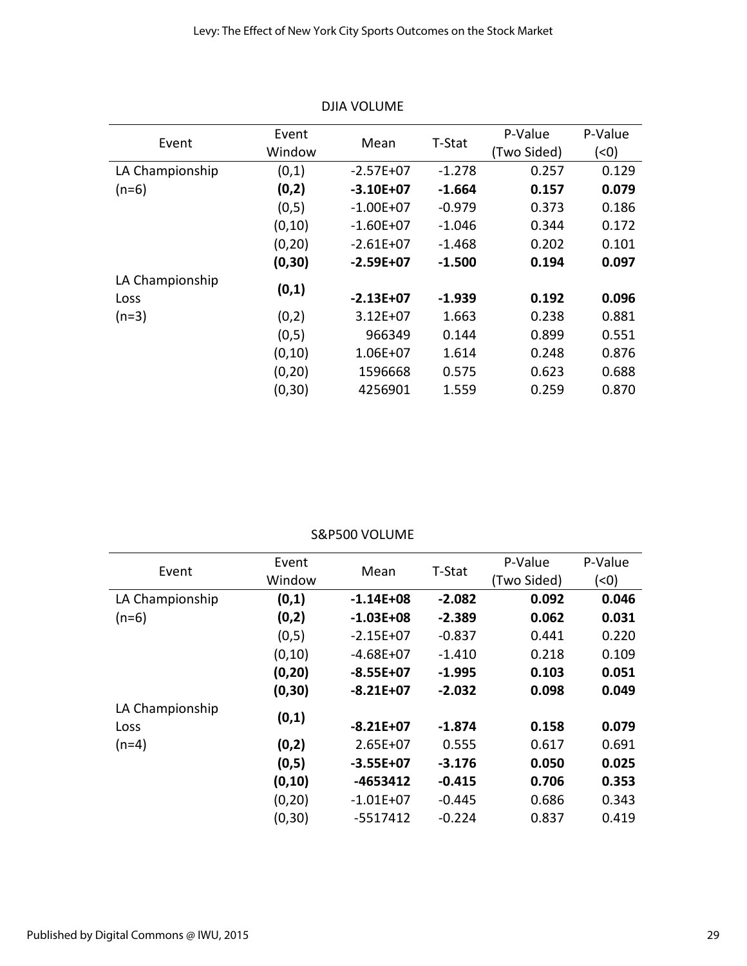| Event           | Event   |               | T-Stat   | P-Value     | P-Value |
|-----------------|---------|---------------|----------|-------------|---------|
|                 | Window  | Mean          |          | (Two Sided) | (0)     |
| LA Championship | (0,1)   | $-2.57E+07$   | $-1.278$ | 0.257       | 0.129   |
| $(n=6)$         | (0,2)   | $-3.10E+07$   | $-1.664$ | 0.157       | 0.079   |
|                 | (0,5)   | $-1.00E + 07$ | $-0.979$ | 0.373       | 0.186   |
|                 | (0, 10) | $-1.60E+07$   | $-1.046$ | 0.344       | 0.172   |
|                 | (0, 20) | $-2.61E+07$   | -1.468   | 0.202       | 0.101   |
|                 | (0, 30) | $-2.59E+07$   | $-1.500$ | 0.194       | 0.097   |
| LA Championship |         |               |          |             |         |
| Loss            | (0,1)   | $-2.13E+07$   | $-1.939$ | 0.192       | 0.096   |
| $(n=3)$         | (0,2)   | $3.12E + 07$  | 1.663    | 0.238       | 0.881   |
|                 | (0,5)   | 966349        | 0.144    | 0.899       | 0.551   |
|                 | (0, 10) | $1.06E + 07$  | 1.614    | 0.248       | 0.876   |
|                 | (0, 20) | 1596668       | 0.575    | 0.623       | 0.688   |
|                 | (0, 30) | 4256901       | 1.559    | 0.259       | 0.870   |

DJIA VOLUME

#### S&P500 VOLUME

|                 | Event   |               |          | P-Value     | P-Value |
|-----------------|---------|---------------|----------|-------------|---------|
| Event           | Window  | Mean          | T-Stat   | (Two Sided) | (0)     |
| LA Championship | (0,1)   | $-1.14E + 08$ | $-2.082$ | 0.092       | 0.046   |
| $(n=6)$         | (0,2)   | $-1.03E + 08$ | $-2.389$ | 0.062       | 0.031   |
|                 | (0,5)   | $-2.15E+07$   | $-0.837$ | 0.441       | 0.220   |
|                 | (0, 10) | $-4.68E+07$   | $-1.410$ | 0.218       | 0.109   |
|                 | (0, 20) | $-8.55E+07$   | $-1.995$ | 0.103       | 0.051   |
|                 | (0, 30) | $-8.21E+07$   | $-2.032$ | 0.098       | 0.049   |
| LA Championship |         |               |          |             |         |
| Loss            | (0,1)   | $-8.21E+07$   | $-1.874$ | 0.158       | 0.079   |
| $(n=4)$         | (0,2)   | $2.65E+07$    | 0.555    | 0.617       | 0.691   |
|                 | (0,5)   | $-3.55E+07$   | $-3.176$ | 0.050       | 0.025   |
|                 | (0, 10) | $-4653412$    | $-0.415$ | 0.706       | 0.353   |
|                 | (0, 20) | $-1.01E+07$   | $-0.445$ | 0.686       | 0.343   |
|                 | (0, 30) | $-5517412$    | $-0.224$ | 0.837       | 0.419   |